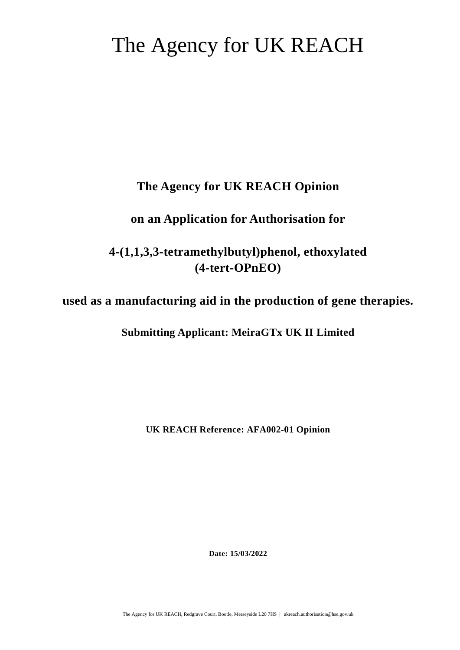# The Agency for UK REACH

# **The Agency for UK REACH Opinion**

# **on an Application for Authorisation for**

# **4-(1,1,3,3-tetramethylbutyl)phenol, ethoxylated (4-tert-OPnEO)**

# **used as a manufacturing aid in the production of gene therapies.**

# **Submitting Applicant: MeiraGTx UK II Limited**

**UK REACH Reference: AFA002-01 Opinion** 

**Date: 15/03/2022** 

The Agency for UK REACH, Redgrave Court, Bootle, Merseyside L20 7HS | | ukreach.authorisation@hse.gov.uk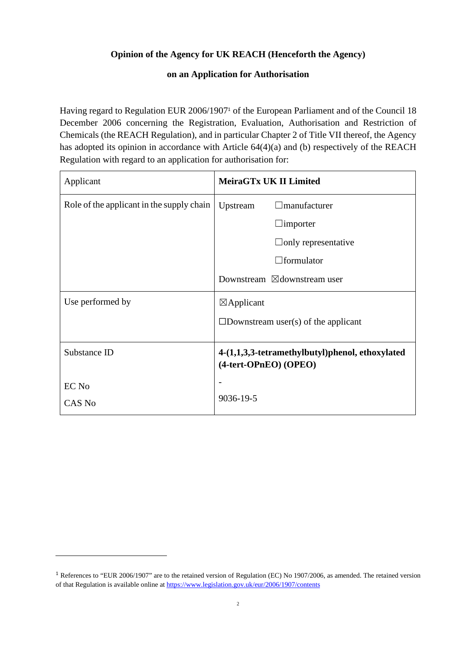# **Opinion of the Agency for UK REACH (Henceforth the Agency)**

# **on an Application for Authorisation**

Having regard to Regulation EUR 2006/1907<sup>1</sup> of the European Parliament and of the Council 18 December 2006 concerning the Registration, Evaluation, Authorisation and Restriction of Chemicals (the REACH Regulation), and in particular Chapter 2 of Title VII thereof, the Agency has adopted its opinion in accordance with Article 64(4)(a) and (b) respectively of the REACH Regulation with regard to an application for authorisation for:

| Applicant                                 | MeiraGTx UK II Limited                                                   |
|-------------------------------------------|--------------------------------------------------------------------------|
| Role of the applicant in the supply chain | manufacturer<br>Upstream                                                 |
|                                           | $\Box$ importer                                                          |
|                                           | $\Box$ only representative                                               |
|                                           | $\Box$ formulator                                                        |
|                                           | Downstream $\boxtimes$ downstream user                                   |
| Use performed by                          | $\boxtimes$ Applicant                                                    |
|                                           | $\square$ Downstream user(s) of the applicant                            |
| Substance ID                              | 4-(1,1,3,3-tetramethylbutyl)phenol, ethoxylated<br>(4-tert-OPnEO) (OPEO) |
| EC No                                     |                                                                          |
| CAS No                                    | 9036-19-5                                                                |

<sup>&</sup>lt;sup>1</sup> References to "EUR 2006/1907" are to the retained version of Regulation (EC) No 1907/2006, as amended. The retained version of that Regulation is available online at https://www.legislation.gov.uk/eur/2006/1907/contents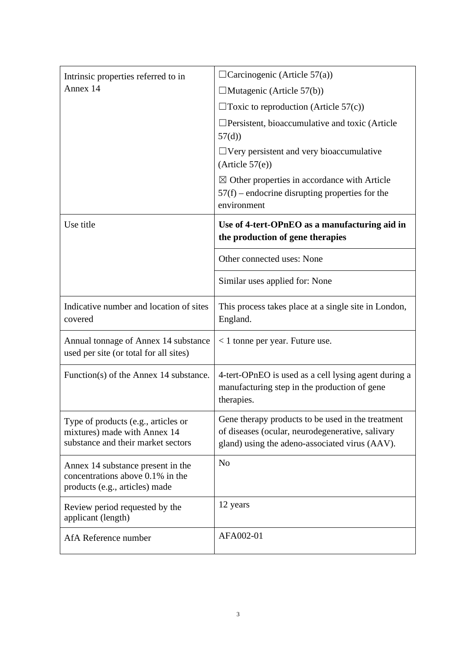| Intrinsic properties referred to in                                                                       | $\Box$ Carcinogenic (Article 57(a))                                                                                                                     |
|-----------------------------------------------------------------------------------------------------------|---------------------------------------------------------------------------------------------------------------------------------------------------------|
| Annex 14                                                                                                  | $\Box$ Mutagenic (Article 57(b))                                                                                                                        |
|                                                                                                           | $\Box$ Toxic to reproduction (Article 57(c))                                                                                                            |
|                                                                                                           | $\Box$ Persistent, bioaccumulative and toxic (Article<br>57(d)                                                                                          |
|                                                                                                           | $\Box$ Very persistent and very bioaccumulative<br>(Article 57(e))                                                                                      |
|                                                                                                           | $\boxtimes$ Other properties in accordance with Article<br>$57(f)$ – endocrine disrupting properties for the<br>environment                             |
| Use title                                                                                                 | Use of 4-tert-OPnEO as a manufacturing aid in<br>the production of gene therapies                                                                       |
|                                                                                                           | Other connected uses: None                                                                                                                              |
|                                                                                                           | Similar uses applied for: None                                                                                                                          |
| Indicative number and location of sites<br>covered                                                        | This process takes place at a single site in London,<br>England.                                                                                        |
| Annual tonnage of Annex 14 substance<br>used per site (or total for all sites)                            | $<$ 1 tonne per year. Future use.                                                                                                                       |
| Function(s) of the Annex 14 substance.                                                                    | 4-tert-OPnEO is used as a cell lysing agent during a<br>manufacturing step in the production of gene<br>therapies.                                      |
| Type of products (e.g., articles or<br>mixtures) made with Annex 14<br>substance and their market sectors | Gene therapy products to be used in the treatment<br>of diseases (ocular, neurodegenerative, salivary<br>gland) using the adeno-associated virus (AAV). |
| Annex 14 substance present in the<br>concentrations above 0.1% in the<br>products (e.g., articles) made   | N <sub>o</sub>                                                                                                                                          |
| Review period requested by the<br>applicant (length)                                                      | 12 years                                                                                                                                                |
| AfA Reference number                                                                                      | AFA002-01                                                                                                                                               |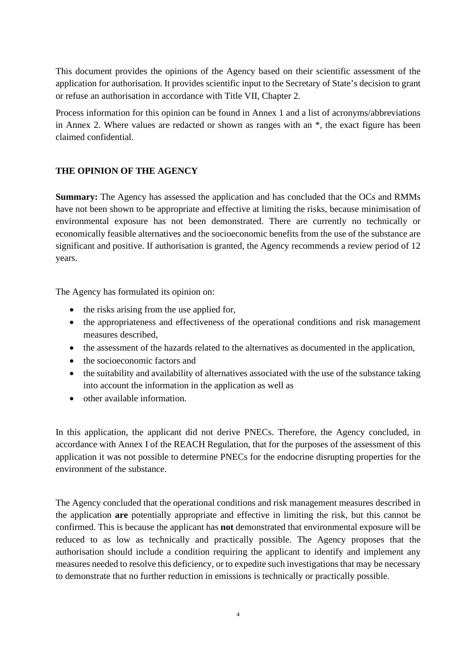This document provides the opinions of the Agency based on their scientific assessment of the application for authorisation. It provides scientific input to the Secretary of State's decision to grant or refuse an authorisation in accordance with Title VII, Chapter 2.

Process information for this opinion can be found in Annex 1 and a list of acronyms/abbreviations in Annex 2. Where values are redacted or shown as ranges with an \*, the exact figure has been claimed confidential.

# **THE OPINION OF THE AGENCY**

**Summary:** The Agency has assessed the application and has concluded that the OCs and RMMs have not been shown to be appropriate and effective at limiting the risks, because minimisation of environmental exposure has not been demonstrated. There are currently no technically or economically feasible alternatives and the socioeconomic benefits from the use of the substance are significant and positive. If authorisation is granted, the Agency recommends a review period of 12 years.

The Agency has formulated its opinion on:

- the risks arising from the use applied for,
- the appropriateness and effectiveness of the operational conditions and risk management measures described,
- the assessment of the hazards related to the alternatives as documented in the application,
- the socioeconomic factors and
- the suitability and availability of alternatives associated with the use of the substance taking into account the information in the application as well as
- other available information.

In this application, the applicant did not derive PNECs. Therefore, the Agency concluded, in accordance with Annex I of the REACH Regulation, that for the purposes of the assessment of this application it was not possible to determine PNECs for the endocrine disrupting properties for the environment of the substance.

The Agency concluded that the operational conditions and risk management measures described in the application **are** potentially appropriate and effective in limiting the risk, but this cannot be confirmed. This is because the applicant has **not** demonstrated that environmental exposure will be reduced to as low as technically and practically possible. The Agency proposes that the authorisation should include a condition requiring the applicant to identify and implement any measures needed to resolve this deficiency, or to expedite such investigations that may be necessary to demonstrate that no further reduction in emissions is technically or practically possible.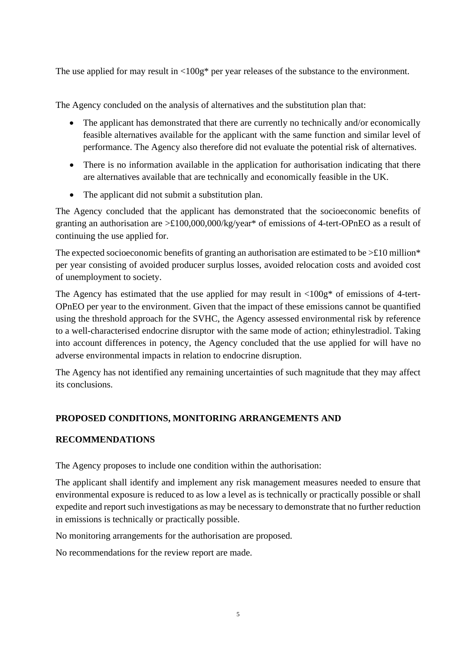The use applied for may result in  $\langle 100g^*$  per year releases of the substance to the environment.

The Agency concluded on the analysis of alternatives and the substitution plan that:

- The applicant has demonstrated that there are currently no technically and/or economically feasible alternatives available for the applicant with the same function and similar level of performance. The Agency also therefore did not evaluate the potential risk of alternatives.
- There is no information available in the application for authorisation indicating that there are alternatives available that are technically and economically feasible in the UK.
- The applicant did not submit a substitution plan.

The Agency concluded that the applicant has demonstrated that the socioeconomic benefits of granting an authorisation are >£100,000,000/kg/year\* of emissions of 4-tert-OPnEO as a result of continuing the use applied for.

The expected socioeconomic benefits of granting an authorisation are estimated to be  $\geq$  £10 million\* per year consisting of avoided producer surplus losses, avoided relocation costs and avoided cost of unemployment to society.

The Agency has estimated that the use applied for may result in  $\langle 100g^*$  of emissions of 4-tert-OPnEO per year to the environment. Given that the impact of these emissions cannot be quantified using the threshold approach for the SVHC, the Agency assessed environmental risk by reference to a well-characterised endocrine disruptor with the same mode of action; ethinylestradiol. Taking into account differences in potency, the Agency concluded that the use applied for will have no adverse environmental impacts in relation to endocrine disruption.

The Agency has not identified any remaining uncertainties of such magnitude that they may affect its conclusions.

# **PROPOSED CONDITIONS, MONITORING ARRANGEMENTS AND**

# **RECOMMENDATIONS**

The Agency proposes to include one condition within the authorisation:

The applicant shall identify and implement any risk management measures needed to ensure that environmental exposure is reduced to as low a level as is technically or practically possible or shall expedite and report such investigations as may be necessary to demonstrate that no further reduction in emissions is technically or practically possible.

No monitoring arrangements for the authorisation are proposed.

No recommendations for the review report are made.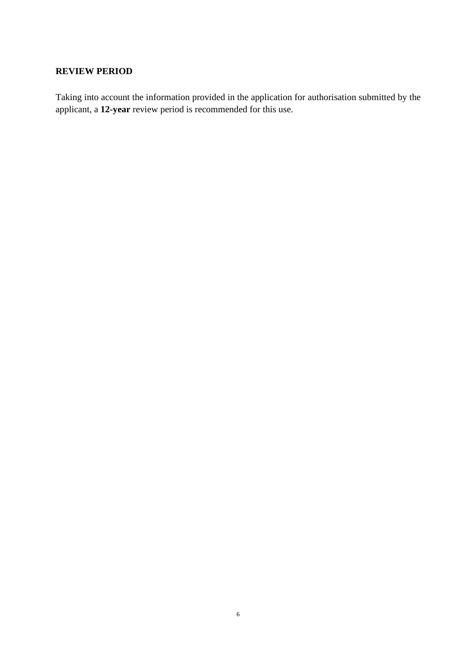# **REVIEW PERIOD**

Taking into account the information provided in the application for authorisation submitted by the applicant, a **12-year** review period is recommended for this use.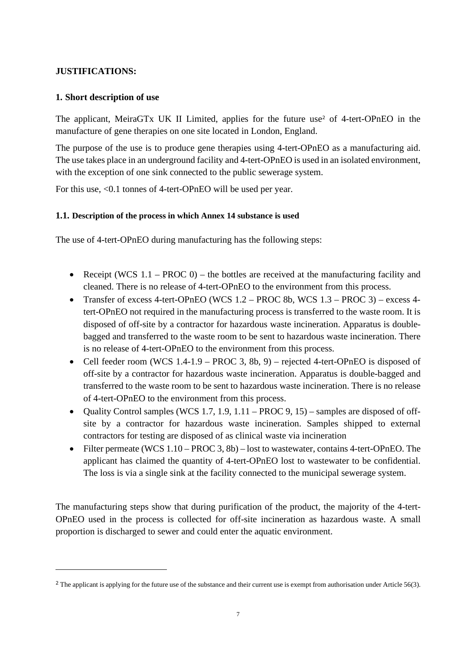# **JUSTIFICATIONS:**

# **1. Short description of use**

The applicant, MeiraGTx UK II Limited, applies for the future use<sup>2</sup> of 4-tert-OPnEO in the manufacture of gene therapies on one site located in London, England.

The purpose of the use is to produce gene therapies using 4-tert-OPnEO as a manufacturing aid. The use takes place in an underground facility and 4-tert-OPnEO is used in an isolated environment, with the exception of one sink connected to the public sewerage system.

For this use, <0.1 tonnes of 4-tert-OPnEO will be used per year.

# **1.1. Description of the process in which Annex 14 substance is used**

The use of 4-tert-OPnEO during manufacturing has the following steps:

- Receipt (WCS  $1.1$  PROC 0) the bottles are received at the manufacturing facility and cleaned. There is no release of 4-tert-OPnEO to the environment from this process.
- Transfer of excess 4-tert-OPnEO (WCS 1.2 PROC 8b, WCS 1.3 PROC 3) excess 4 tert-OPnEO not required in the manufacturing process is transferred to the waste room. It is disposed of off-site by a contractor for hazardous waste incineration. Apparatus is doublebagged and transferred to the waste room to be sent to hazardous waste incineration. There is no release of 4-tert-OPnEO to the environment from this process.
- Cell feeder room (WCS 1.4-1.9 PROC 3, 8b, 9) rejected 4-tert-OPnEO is disposed of off-site by a contractor for hazardous waste incineration. Apparatus is double-bagged and transferred to the waste room to be sent to hazardous waste incineration. There is no release of 4-tert-OPnEO to the environment from this process.
- Quality Control samples (WCS 1.7, 1.9,  $1.11$  PROC 9, 15) samples are disposed of offsite by a contractor for hazardous waste incineration. Samples shipped to external contractors for testing are disposed of as clinical waste via incineration
- Filter permeate (WCS 1.10 PROC 3, 8b) lost to wastewater, contains 4-tert-OPnEO. The applicant has claimed the quantity of 4-tert-OPnEO lost to wastewater to be confidential. The loss is via a single sink at the facility connected to the municipal sewerage system.

The manufacturing steps show that during purification of the product, the majority of the 4-tert-OPnEO used in the process is collected for off-site incineration as hazardous waste. A small proportion is discharged to sewer and could enter the aquatic environment.

<sup>&</sup>lt;sup>2</sup> The applicant is applying for the future use of the substance and their current use is exempt from authorisation under Article 56(3).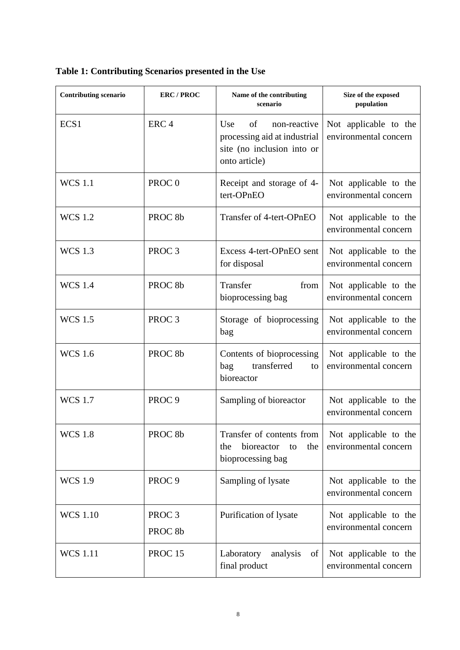| <b>Contributing scenario</b> | <b>ERC/PROC</b>                         | Name of the contributing<br>scenario                                                                     | Size of the exposed<br>population              |
|------------------------------|-----------------------------------------|----------------------------------------------------------------------------------------------------------|------------------------------------------------|
| ECS1                         | ERC <sub>4</sub>                        | Use<br>of<br>non-reactive<br>processing aid at industrial<br>site (no inclusion into or<br>onto article) | Not applicable to the<br>environmental concern |
| <b>WCS</b> 1.1               | PROC <sub>0</sub>                       | Receipt and storage of 4-<br>tert-OPnEO                                                                  | Not applicable to the<br>environmental concern |
| <b>WCS 1.2</b>               | PROC <sub>8b</sub>                      | Transfer of 4-tert-OPnEO                                                                                 | Not applicable to the<br>environmental concern |
| <b>WCS</b> 1.3               | PROC <sub>3</sub>                       | Excess 4-tert-OPnEO sent<br>for disposal                                                                 | Not applicable to the<br>environmental concern |
| <b>WCS 1.4</b>               | PROC <sub>8b</sub>                      | Transfer<br>from<br>bioprocessing bag                                                                    | Not applicable to the<br>environmental concern |
| <b>WCS 1.5</b>               | PROC <sub>3</sub>                       | Storage of bioprocessing<br>bag                                                                          | Not applicable to the<br>environmental concern |
| <b>WCS 1.6</b>               | PROC <sub>8b</sub>                      | Contents of bioprocessing<br>transferred<br>bag<br>to<br>bioreactor                                      | Not applicable to the<br>environmental concern |
| <b>WCS 1.7</b>               | PROC <sub>9</sub>                       | Sampling of bioreactor                                                                                   | Not applicable to the<br>environmental concern |
| <b>WCS 1.8</b>               | PROC <sub>8b</sub>                      | Transfer of contents from<br>bioreactor<br>the<br>the<br>to<br>bioprocessing bag                         | Not applicable to the<br>environmental concern |
| <b>WCS 1.9</b>               | PROC <sub>9</sub>                       | Sampling of lysate                                                                                       | Not applicable to the<br>environmental concern |
| <b>WCS 1.10</b>              | PROC <sub>3</sub><br>PROC <sub>8b</sub> | Purification of lysate                                                                                   | Not applicable to the<br>environmental concern |
| <b>WCS</b> 1.11              | <b>PROC 15</b>                          | Laboratory<br>analysis<br>of<br>final product                                                            | Not applicable to the<br>environmental concern |

**Table 1: Contributing Scenarios presented in the Use**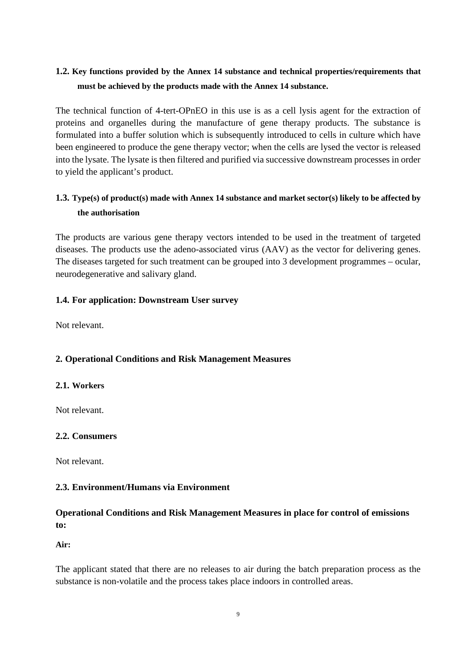# **1.2. Key functions provided by the Annex 14 substance and technical properties/requirements that must be achieved by the products made with the Annex 14 substance.**

The technical function of 4-tert-OPnEO in this use is as a cell lysis agent for the extraction of proteins and organelles during the manufacture of gene therapy products. The substance is formulated into a buffer solution which is subsequently introduced to cells in culture which have been engineered to produce the gene therapy vector; when the cells are lysed the vector is released into the lysate. The lysate is then filtered and purified via successive downstream processes in order to yield the applicant's product.

# **1.3. Type(s) of product(s) made with Annex 14 substance and market sector(s) likely to be affected by the authorisation**

The products are various gene therapy vectors intended to be used in the treatment of targeted diseases. The products use the adeno-associated virus (AAV) as the vector for delivering genes. The diseases targeted for such treatment can be grouped into 3 development programmes – ocular, neurodegenerative and salivary gland.

# **1.4. For application: Downstream User survey**

Not relevant.

# **2. Operational Conditions and Risk Management Measures**

#### **2.1. Workers**

Not relevant.

# **2.2. Consumers**

Not relevant.

#### **2.3. Environment/Humans via Environment**

# **Operational Conditions and Risk Management Measures in place for control of emissions to:**

**Air:** 

The applicant stated that there are no releases to air during the batch preparation process as the substance is non-volatile and the process takes place indoors in controlled areas.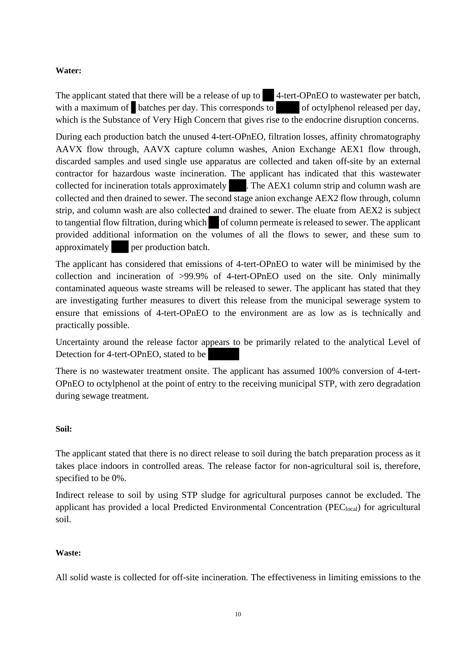# **Water:**

The applicant stated that there will be a release of up to 4-tert-OPnEO to wastewater per batch. with a maximum of batches per day. This corresponds to  $\sim$  of octylphenol released per day, which is the Substance of Very High Concern that gives rise to the endocrine disruption concerns.

During each production batch the unused 4-tert-OPnEO, filtration losses, affinity chromatography AAVX flow through, AAVX capture column washes, Anion Exchange AEX1 flow through, discarded samples and used single use apparatus are collected and taken off-site by an external contractor for hazardous waste incineration. The applicant has indicated that this wastewater collected for incineration totals approximately . The AEX1 column strip and column wash are collected and then drained to sewer. The second stage anion exchange AEX2 flow through, column strip, and column wash are also collected and drained to sewer. The eluate from AEX2 is subject to tangential flow filtration, during which of column permeate is released to sewer. The applicant provided additional information on the volumes of all the flows to sewer, and these sum to approximately per production batch.

The applicant has considered that emissions of 4-tert-OPnEO to water will be minimised by the collection and incineration of >99.9% of 4-tert-OPnEO used on the site. Only minimally contaminated aqueous waste streams will be released to sewer. The applicant has stated that they are investigating further measures to divert this release from the municipal sewerage system to ensure that emissions of 4-tert-OPnEO to the environment are as low as is technically and practically possible.

Uncertainty around the release factor appears to be primarily related to the analytical Level of Detection for 4-tert-OPnEO, stated to be

There is no wastewater treatment onsite. The applicant has assumed 100% conversion of 4-tert-OPnEO to octylphenol at the point of entry to the receiving municipal STP, with zero degradation during sewage treatment.

#### **Soil:**

The applicant stated that there is no direct release to soil during the batch preparation process as it takes place indoors in controlled areas. The release factor for non-agricultural soil is, therefore, specified to be 0%.

Indirect release to soil by using STP sludge for agricultural purposes cannot be excluded. The applicant has provided a local Predicted Environmental Concentration (PEC<sub>local</sub>) for agricultural soil.

#### **Waste:**

All solid waste is collected for off-site incineration. The effectiveness in limiting emissions to the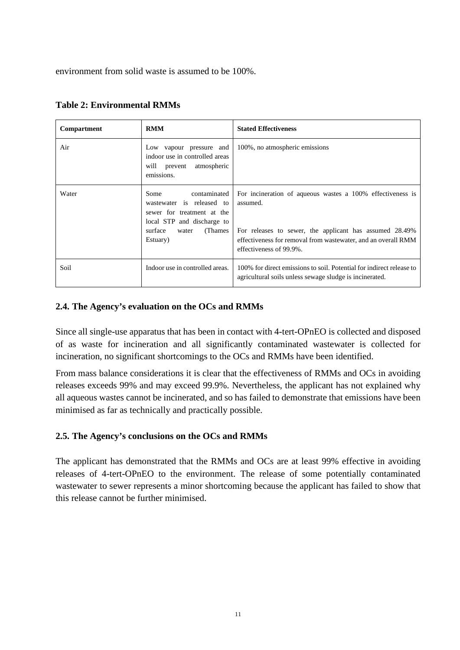environment from solid waste is assumed to be 100%.

| Compartment | <b>RMM</b>                                                                                                                                                | <b>Stated Effectiveness</b>                                                                                                                                                                                                   |
|-------------|-----------------------------------------------------------------------------------------------------------------------------------------------------------|-------------------------------------------------------------------------------------------------------------------------------------------------------------------------------------------------------------------------------|
| Air         | Low vapour pressure and<br>indoor use in controlled areas<br>will prevent atmospheric<br>emissions.                                                       | 100%, no atmospheric emissions                                                                                                                                                                                                |
| Water       | contaminated<br>Some<br>wastewater is released to<br>sewer for treatment at the<br>local STP and discharge to<br>surface<br>(Thames)<br>water<br>Estuary) | For incineration of aqueous wastes a 100% effectiveness is<br>assumed.<br>For releases to sewer, the applicant has assumed 28.49%<br>effectiveness for removal from wastewater, and an overall RMM<br>effectiveness of 99.9%. |
| Soil        | Indoor use in controlled areas.                                                                                                                           | 100% for direct emissions to soil. Potential for indirect release to<br>agricultural soils unless sewage sludge is incinerated.                                                                                               |

| <b>Table 2: Environmental RMMs</b> |  |  |  |
|------------------------------------|--|--|--|
|------------------------------------|--|--|--|

# **2.4. The Agency's evaluation on the OCs and RMMs**

Since all single-use apparatus that has been in contact with 4-tert-OPnEO is collected and disposed of as waste for incineration and all significantly contaminated wastewater is collected for incineration, no significant shortcomings to the OCs and RMMs have been identified.

From mass balance considerations it is clear that the effectiveness of RMMs and OCs in avoiding releases exceeds 99% and may exceed 99.9%. Nevertheless, the applicant has not explained why all aqueous wastes cannot be incinerated, and so has failed to demonstrate that emissions have been minimised as far as technically and practically possible.

# **2.5. The Agency's conclusions on the OCs and RMMs**

The applicant has demonstrated that the RMMs and OCs are at least 99% effective in avoiding releases of 4-tert-OPnEO to the environment. The release of some potentially contaminated wastewater to sewer represents a minor shortcoming because the applicant has failed to show that this release cannot be further minimised.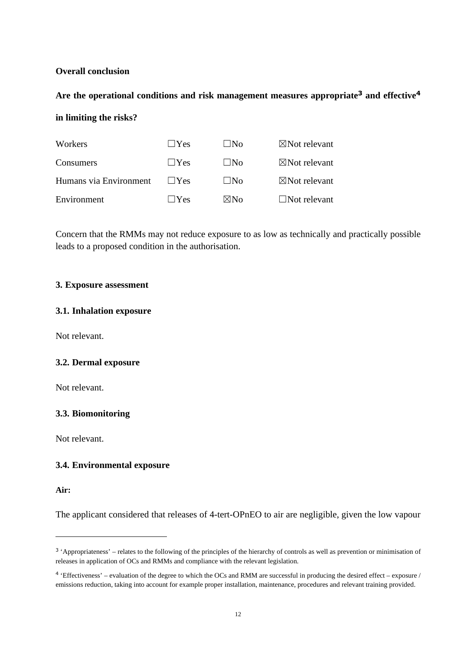## **Overall conclusion**

# **Are the operational conditions and risk management measures appropriate<sup>3</sup> and effective<sup>4</sup>**

### **in limiting the risks?**

| Workers                | $\vert$  Yes        | ∣ ∣No          | $\boxtimes$ Not relevant |
|------------------------|---------------------|----------------|--------------------------|
| Consumers              | $\perp$ $Y$ es      | ⊥ ∣No          | $\boxtimes$ Not relevant |
| Humans via Environment | $\vert$ $\vert$ Yes | $\Box$ No      | $\boxtimes$ Not relevant |
| Environment            | $\perp$ $Y$ es      | $\boxtimes$ No | $\Box$ Not relevant      |

Concern that the RMMs may not reduce exposure to as low as technically and practically possible leads to a proposed condition in the authorisation.

#### **3. Exposure assessment**

#### **3.1. Inhalation exposure**

Not relevant.

#### **3.2. Dermal exposure**

Not relevant.

#### **3.3. Biomonitoring**

Not relevant.

#### **3.4. Environmental exposure**

#### **Air:**

The applicant considered that releases of 4-tert-OPnEO to air are negligible, given the low vapour

<sup>&</sup>lt;sup>3</sup> 'Appropriateness' – relates to the following of the principles of the hierarchy of controls as well as prevention or minimisation of releases in application of OCs and RMMs and compliance with the relevant legislation.

<sup>4</sup> 'Effectiveness' – evaluation of the degree to which the OCs and RMM are successful in producing the desired effect – exposure / emissions reduction, taking into account for example proper installation, maintenance, procedures and relevant training provided.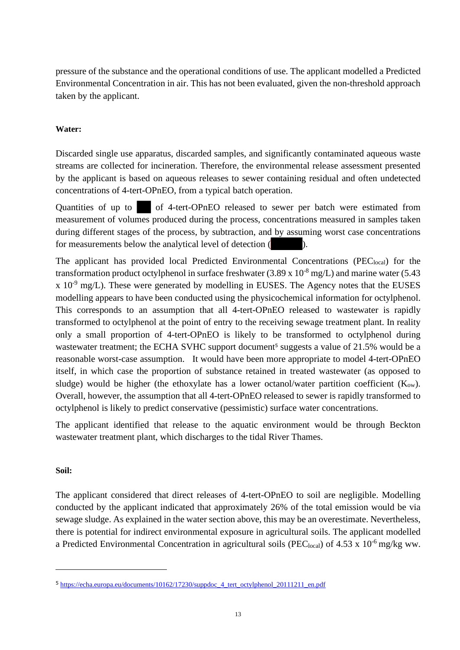pressure of the substance and the operational conditions of use. The applicant modelled a Predicted Environmental Concentration in air. This has not been evaluated, given the non-threshold approach taken by the applicant.

# **Water:**

Discarded single use apparatus, discarded samples, and significantly contaminated aqueous waste streams are collected for incineration. Therefore, the environmental release assessment presented by the applicant is based on aqueous releases to sewer containing residual and often undetected concentrations of 4-tert-OPnEO, from a typical batch operation.

Quantities of up to of 4-tert-OPnEO released to sewer per batch were estimated from measurement of volumes produced during the process, concentrations measured in samples taken during different stages of the process, by subtraction, and by assuming worst case concentrations for measurements below the analytical level of detection ( ).

The applicant has provided local Predicted Environmental Concentrations ( $PEC<sub>local</sub>$ ) for the transformation product octylphenol in surface freshwater  $(3.89 \times 10^{-8} \text{ mg/L})$  and marine water  $(5.43 \text{ m})$  $x$  10<sup>-9</sup> mg/L). These were generated by modelling in EUSES. The Agency notes that the EUSES modelling appears to have been conducted using the physicochemical information for octylphenol. This corresponds to an assumption that all 4-tert-OPnEO released to wastewater is rapidly transformed to octylphenol at the point of entry to the receiving sewage treatment plant. In reality only a small proportion of 4-tert-OPnEO is likely to be transformed to octylphenol during wastewater treatment; the ECHA SVHC support document<sup>5</sup> suggests a value of 21.5% would be a reasonable worst-case assumption. It would have been more appropriate to model 4-tert-OPnEO itself, in which case the proportion of substance retained in treated wastewater (as opposed to sludge) would be higher (the ethoxylate has a lower octanol/water partition coefficient  $(K_{ow})$ . Overall, however, the assumption that all 4-tert-OPnEO released to sewer is rapidly transformed to octylphenol is likely to predict conservative (pessimistic) surface water concentrations.

The applicant identified that release to the aquatic environment would be through Beckton wastewater treatment plant, which discharges to the tidal River Thames.

#### **Soil:**

The applicant considered that direct releases of 4-tert-OPnEO to soil are negligible. Modelling conducted by the applicant indicated that approximately 26% of the total emission would be via sewage sludge. As explained in the water section above, this may be an overestimate. Nevertheless, there is potential for indirect environmental exposure in agricultural soils. The applicant modelled a Predicted Environmental Concentration in agricultural soils (PEC<sub>local</sub>) of 4.53 x 10<sup>-6</sup> mg/kg ww.

<sup>5</sup> https://echa.europa.eu/documents/10162/17230/suppdoc\_4\_tert\_octylphenol\_20111211\_en.pdf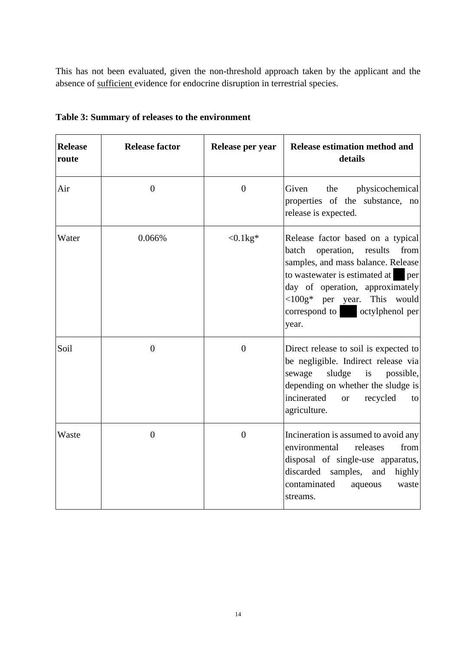This has not been evaluated, given the non-threshold approach taken by the applicant and the absence of sufficient evidence for endocrine disruption in terrestrial species.

| <b>Release</b><br>route | <b>Release factor</b> | Release per year | Release estimation method and<br>details                                                                                                                                                                                                                                          |
|-------------------------|-----------------------|------------------|-----------------------------------------------------------------------------------------------------------------------------------------------------------------------------------------------------------------------------------------------------------------------------------|
| Air                     | $\overline{0}$        | $\boldsymbol{0}$ | physicochemical<br>Given<br>the<br>properties of the substance, no<br>release is expected.                                                                                                                                                                                        |
| Water                   | 0.066%                | $< 0.1 kg*$      | Release factor based on a typical<br>operation, results<br>from<br>batch<br>samples, and mass balance. Release<br>to wastewater is estimated at per<br>day of operation, approximately<br>$\langle 100g^* \rangle$ per year. This would<br>correspond to octylphenol per<br>year. |
| Soil                    | $\overline{0}$        | $\boldsymbol{0}$ | Direct release to soil is expected to<br>be negligible. Indirect release via<br>sewage<br>sludge<br>$\frac{1}{1}$<br>possible,<br>depending on whether the sludge is<br>incinerated<br>recycled<br><b>or</b><br>to<br>agriculture.                                                |
| Waste                   | $\overline{0}$        | $\overline{0}$   | Incineration is assumed to avoid any<br>environmental<br>releases<br>from<br>disposal of single-use apparatus,<br>discarded samples, and<br>highly<br>contaminated<br>aqueous<br>waste<br>streams.                                                                                |

**Table 3: Summary of releases to the environment**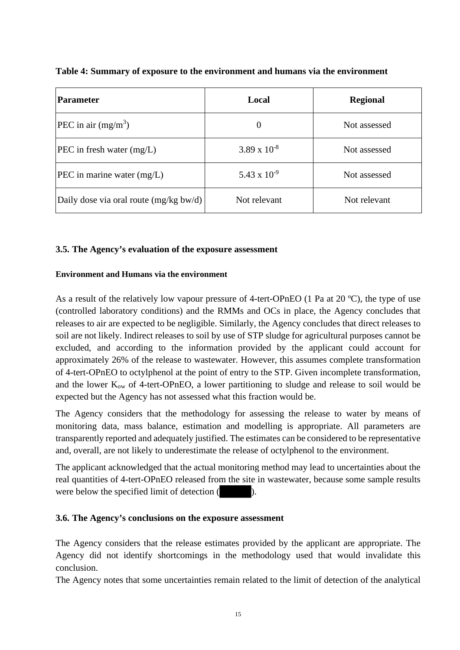| <b>Parameter</b>                       | Local                 | <b>Regional</b> |
|----------------------------------------|-----------------------|-----------------|
| <b>PEC</b> in air $(mg/m^3)$           | $\theta$              | Not assessed    |
| $\text{PEC}$ in fresh water (mg/L)     | $3.89 \times 10^{-8}$ | Not assessed    |
| $ {\rm PEC}$ in marine water $(mg/L)$  | 5.43 x $10^{-9}$      | Not assessed    |
| Daily dose via oral route (mg/kg bw/d) | Not relevant          | Not relevant    |

**Table 4: Summary of exposure to the environment and humans via the environment**

# **3.5. The Agency's evaluation of the exposure assessment**

## **Environment and Humans via the environment**

As a result of the relatively low vapour pressure of 4-tert-OPnEO (1 Pa at 20 ºC), the type of use (controlled laboratory conditions) and the RMMs and OCs in place, the Agency concludes that releases to air are expected to be negligible. Similarly, the Agency concludes that direct releases to soil are not likely. Indirect releases to soil by use of STP sludge for agricultural purposes cannot be excluded, and according to the information provided by the applicant could account for approximately 26% of the release to wastewater. However, this assumes complete transformation of 4-tert-OPnEO to octylphenol at the point of entry to the STP. Given incomplete transformation, and the lower  $K_{ow}$  of 4-tert-OPnEO, a lower partitioning to sludge and release to soil would be expected but the Agency has not assessed what this fraction would be.

The Agency considers that the methodology for assessing the release to water by means of monitoring data, mass balance, estimation and modelling is appropriate. All parameters are transparently reported and adequately justified. The estimates can be considered to be representative and, overall, are not likely to underestimate the release of octylphenol to the environment.

The applicant acknowledged that the actual monitoring method may lead to uncertainties about the real quantities of 4-tert-OPnEO released from the site in wastewater, because some sample results were below the specified limit of detection (

# **3.6. The Agency's conclusions on the exposure assessment**

The Agency considers that the release estimates provided by the applicant are appropriate. The Agency did not identify shortcomings in the methodology used that would invalidate this conclusion.

The Agency notes that some uncertainties remain related to the limit of detection of the analytical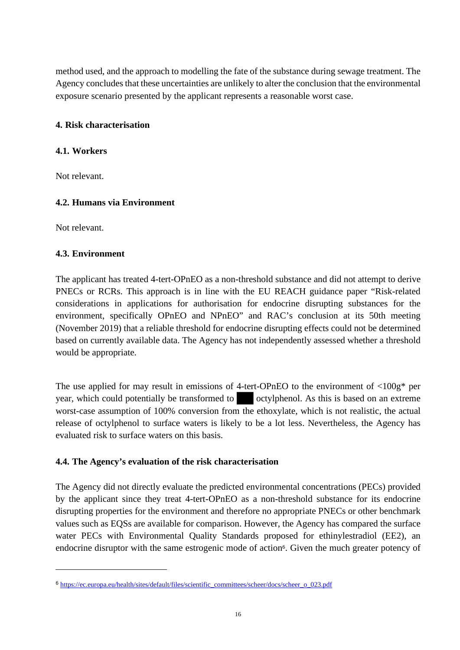method used, and the approach to modelling the fate of the substance during sewage treatment. The Agency concludes that these uncertainties are unlikely to alter the conclusion that the environmental exposure scenario presented by the applicant represents a reasonable worst case.

# **4. Risk characterisation**

## **4.1. Workers**

Not relevant.

# **4.2. Humans via Environment**

Not relevant.

# **4.3. Environment**

The applicant has treated 4-tert-OPnEO as a non-threshold substance and did not attempt to derive PNECs or RCRs. This approach is in line with the EU REACH guidance paper "Risk-related considerations in applications for authorisation for endocrine disrupting substances for the environment, specifically OPnEO and NPnEO" and RAC's conclusion at its 50th meeting (November 2019) that a reliable threshold for endocrine disrupting effects could not be determined based on currently available data. The Agency has not independently assessed whether a threshold would be appropriate.

The use applied for may result in emissions of 4-tert-OPnEO to the environment of  $\langle 100g^* \rangle$  per year, which could potentially be transformed to octylphenol. As this is based on an extreme worst-case assumption of 100% conversion from the ethoxylate, which is not realistic, the actual release of octylphenol to surface waters is likely to be a lot less. Nevertheless, the Agency has evaluated risk to surface waters on this basis.

#### **4.4. The Agency's evaluation of the risk characterisation**

The Agency did not directly evaluate the predicted environmental concentrations (PECs) provided by the applicant since they treat 4-tert-OPnEO as a non-threshold substance for its endocrine disrupting properties for the environment and therefore no appropriate PNECs or other benchmark values such as EQSs are available for comparison. However, the Agency has compared the surface water PECs with Environmental Quality Standards proposed for ethinylestradiol (EE2), an endocrine disruptor with the same estrogenic mode of action<sup>6</sup>. Given the much greater potency of

<sup>6</sup> https://ec.europa.eu/health/sites/default/files/scientific\_committees/scheer/docs/scheer\_o\_023.pdf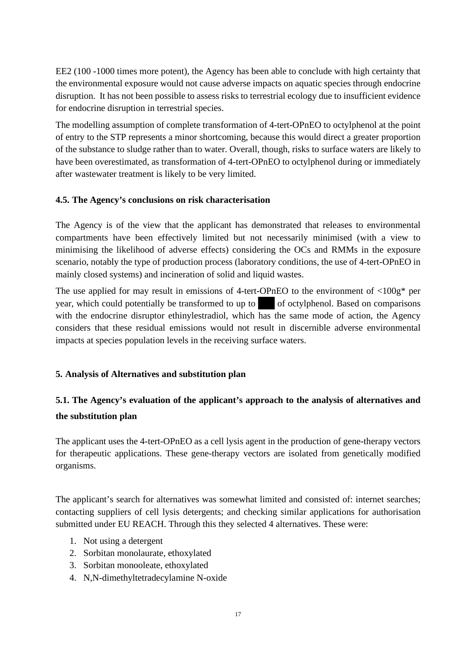EE2 (100 -1000 times more potent), the Agency has been able to conclude with high certainty that the environmental exposure would not cause adverse impacts on aquatic species through endocrine disruption. It has not been possible to assess risks to terrestrial ecology due to insufficient evidence for endocrine disruption in terrestrial species.

The modelling assumption of complete transformation of 4-tert-OPnEO to octylphenol at the point of entry to the STP represents a minor shortcoming, because this would direct a greater proportion of the substance to sludge rather than to water. Overall, though, risks to surface waters are likely to have been overestimated, as transformation of 4-tert-OPnEO to octylphenol during or immediately after wastewater treatment is likely to be very limited.

# **4.5. The Agency's conclusions on risk characterisation**

The Agency is of the view that the applicant has demonstrated that releases to environmental compartments have been effectively limited but not necessarily minimised (with a view to minimising the likelihood of adverse effects) considering the OCs and RMMs in the exposure scenario, notably the type of production process (laboratory conditions, the use of 4-tert-OPnEO in mainly closed systems) and incineration of solid and liquid wastes.

The use applied for may result in emissions of 4-tert-OPnEO to the environment of  $\langle 100g^* \rangle$  per year, which could potentially be transformed to up to of octylphenol. Based on comparisons with the endocrine disruptor ethinylestradiol, which has the same mode of action, the Agency considers that these residual emissions would not result in discernible adverse environmental impacts at species population levels in the receiving surface waters.

# **5. Analysis of Alternatives and substitution plan**

# **5.1. The Agency's evaluation of the applicant's approach to the analysis of alternatives and the substitution plan**

The applicant uses the 4-tert-OPnEO as a cell lysis agent in the production of gene-therapy vectors for therapeutic applications. These gene-therapy vectors are isolated from genetically modified organisms.

The applicant's search for alternatives was somewhat limited and consisted of: internet searches; contacting suppliers of cell lysis detergents; and checking similar applications for authorisation submitted under EU REACH. Through this they selected 4 alternatives. These were:

- 1. Not using a detergent
- 2. Sorbitan monolaurate, ethoxylated
- 3. Sorbitan monooleate, ethoxylated
- 4. N,N-dimethyltetradecylamine N-oxide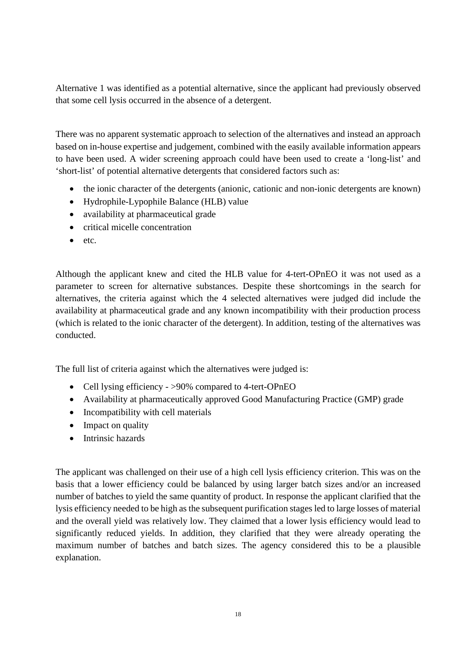Alternative 1 was identified as a potential alternative, since the applicant had previously observed that some cell lysis occurred in the absence of a detergent.

There was no apparent systematic approach to selection of the alternatives and instead an approach based on in-house expertise and judgement, combined with the easily available information appears to have been used. A wider screening approach could have been used to create a 'long-list' and 'short-list' of potential alternative detergents that considered factors such as:

- the ionic character of the detergents (anionic, cationic and non-ionic detergents are known)
- Hydrophile-Lypophile Balance (HLB) value
- availability at pharmaceutical grade
- critical micelle concentration
- etc.

Although the applicant knew and cited the HLB value for 4-tert-OPnEO it was not used as a parameter to screen for alternative substances. Despite these shortcomings in the search for alternatives, the criteria against which the 4 selected alternatives were judged did include the availability at pharmaceutical grade and any known incompatibility with their production process (which is related to the ionic character of the detergent). In addition, testing of the alternatives was conducted.

The full list of criteria against which the alternatives were judged is:

- Cell lysing efficiency >90% compared to 4-tert-OPnEO
- Availability at pharmaceutically approved Good Manufacturing Practice (GMP) grade
- Incompatibility with cell materials
- Impact on quality
- Intrinsic hazards

The applicant was challenged on their use of a high cell lysis efficiency criterion. This was on the basis that a lower efficiency could be balanced by using larger batch sizes and/or an increased number of batches to yield the same quantity of product. In response the applicant clarified that the lysis efficiency needed to be high as the subsequent purification stages led to large losses of material and the overall yield was relatively low. They claimed that a lower lysis efficiency would lead to significantly reduced yields. In addition, they clarified that they were already operating the maximum number of batches and batch sizes. The agency considered this to be a plausible explanation.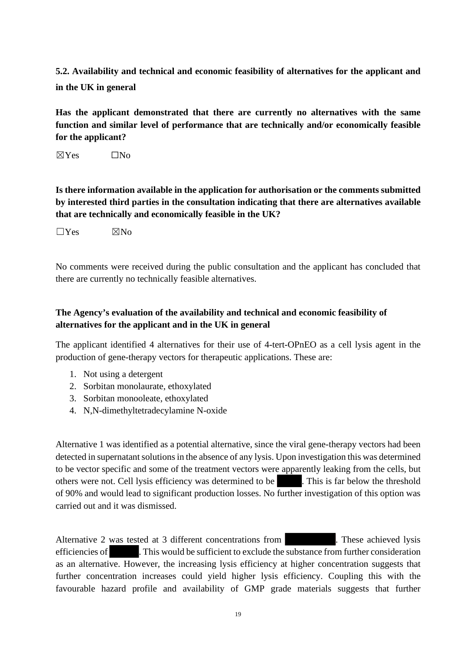**5.2. Availability and technical and economic feasibility of alternatives for the applicant and in the UK in general** 

**Has the applicant demonstrated that there are currently no alternatives with the same function and similar level of performance that are technically and/or economically feasible for the applicant?** 

 $\boxtimes$ Yes  $\Box$ No

**Is there information available in the application for authorisation or the comments submitted by interested third parties in the consultation indicating that there are alternatives available that are technically and economically feasible in the UK?** 

 $\Box$ Yes  $\boxtimes$ No

No comments were received during the public consultation and the applicant has concluded that there are currently no technically feasible alternatives.

# **The Agency's evaluation of the availability and technical and economic feasibility of alternatives for the applicant and in the UK in general**

The applicant identified 4 alternatives for their use of 4-tert-OPnEO as a cell lysis agent in the production of gene-therapy vectors for therapeutic applications. These are:

- 1. Not using a detergent
- 2. Sorbitan monolaurate, ethoxylated
- 3. Sorbitan monooleate, ethoxylated
- 4. N,N-dimethyltetradecylamine N-oxide

Alternative 1 was identified as a potential alternative, since the viral gene-therapy vectors had been detected in supernatant solutions in the absence of any lysis. Upon investigation this was determined to be vector specific and some of the treatment vectors were apparently leaking from the cells, but others were not. Cell lysis efficiency was determined to be . This is far below the threshold of 90% and would lead to significant production losses. No further investigation of this option was carried out and it was dismissed.

Alternative 2 was tested at 3 different concentrations from . These achieved lysis efficiencies of . This would be sufficient to exclude the substance from further consideration as an alternative. However, the increasing lysis efficiency at higher concentration suggests that further concentration increases could yield higher lysis efficiency. Coupling this with the favourable hazard profile and availability of GMP grade materials suggests that further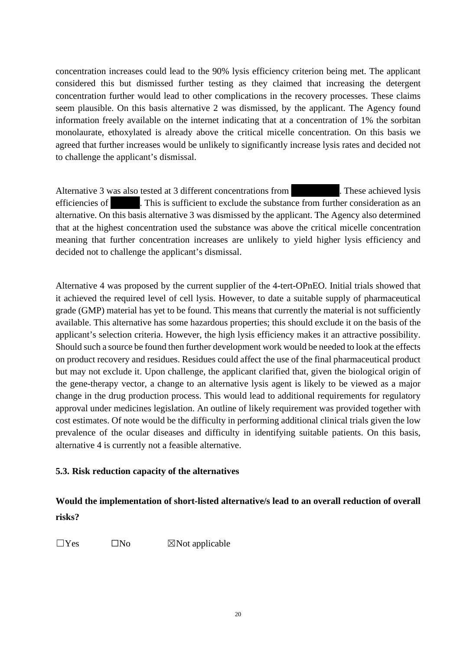concentration increases could lead to the 90% lysis efficiency criterion being met. The applicant considered this but dismissed further testing as they claimed that increasing the detergent concentration further would lead to other complications in the recovery processes. These claims seem plausible. On this basis alternative 2 was dismissed, by the applicant. The Agency found information freely available on the internet indicating that at a concentration of 1% the sorbitan monolaurate, ethoxylated is already above the critical micelle concentration. On this basis we agreed that further increases would be unlikely to significantly increase lysis rates and decided not to challenge the applicant's dismissal.

Alternative 3 was also tested at 3 different concentrations from . These achieved lysis efficiencies of **. This is sufficient to exclude the substance from further consideration as an** alternative. On this basis alternative 3 was dismissed by the applicant. The Agency also determined that at the highest concentration used the substance was above the critical micelle concentration meaning that further concentration increases are unlikely to yield higher lysis efficiency and decided not to challenge the applicant's dismissal.

Alternative 4 was proposed by the current supplier of the 4-tert-OPnEO. Initial trials showed that it achieved the required level of cell lysis. However, to date a suitable supply of pharmaceutical grade (GMP) material has yet to be found. This means that currently the material is not sufficiently available. This alternative has some hazardous properties; this should exclude it on the basis of the applicant's selection criteria. However, the high lysis efficiency makes it an attractive possibility. Should such a source be found then further development work would be needed to look at the effects on product recovery and residues. Residues could affect the use of the final pharmaceutical product but may not exclude it. Upon challenge, the applicant clarified that, given the biological origin of the gene-therapy vector, a change to an alternative lysis agent is likely to be viewed as a major change in the drug production process. This would lead to additional requirements for regulatory approval under medicines legislation. An outline of likely requirement was provided together with cost estimates. Of note would be the difficulty in performing additional clinical trials given the low prevalence of the ocular diseases and difficulty in identifying suitable patients. On this basis, alternative 4 is currently not a feasible alternative.

# **5.3. Risk reduction capacity of the alternatives**

# **Would the implementation of short-listed alternative/s lead to an overall reduction of overall risks?**

 $\square$ Yes  $\square$ No  $\square$ Not applicable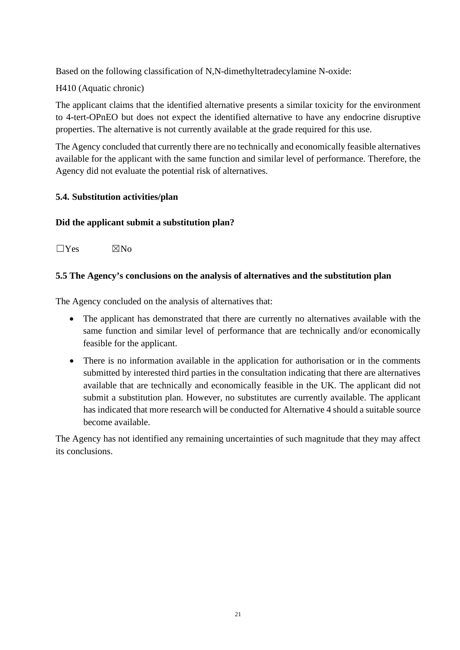Based on the following classification of N,N-dimethyltetradecylamine N-oxide:

H410 (Aquatic chronic)

The applicant claims that the identified alternative presents a similar toxicity for the environment to 4-tert-OPnEO but does not expect the identified alternative to have any endocrine disruptive properties. The alternative is not currently available at the grade required for this use.

The Agency concluded that currently there are no technically and economically feasible alternatives available for the applicant with the same function and similar level of performance. Therefore, the Agency did not evaluate the potential risk of alternatives.

# **5.4. Substitution activities/plan**

# **Did the applicant submit a substitution plan?**

 $\Box$ Yes  $\boxtimes$ No

# **5.5 The Agency's conclusions on the analysis of alternatives and the substitution plan**

The Agency concluded on the analysis of alternatives that:

- The applicant has demonstrated that there are currently no alternatives available with the same function and similar level of performance that are technically and/or economically feasible for the applicant.
- There is no information available in the application for authorisation or in the comments submitted by interested third parties in the consultation indicating that there are alternatives available that are technically and economically feasible in the UK. The applicant did not submit a substitution plan. However, no substitutes are currently available. The applicant has indicated that more research will be conducted for Alternative 4 should a suitable source become available.

The Agency has not identified any remaining uncertainties of such magnitude that they may affect its conclusions.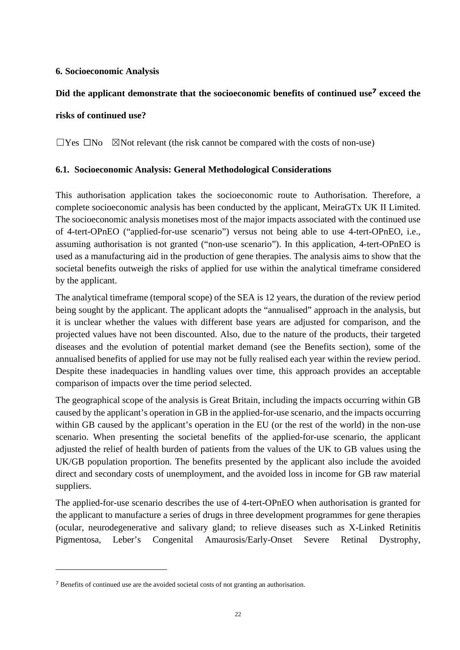# **6. Socioeconomic Analysis**

# **Did the applicant demonstrate that the socioeconomic benefits of continued use<sup>7</sup> exceed the**

#### **risks of continued use?**

 $\Box$ Yes  $\Box$ No  $\Box$ Not relevant (the risk cannot be compared with the costs of non-use)

#### **6.1. Socioeconomic Analysis: General Methodological Considerations**

This authorisation application takes the socioeconomic route to Authorisation. Therefore, a complete socioeconomic analysis has been conducted by the applicant, MeiraGTx UK II Limited. The socioeconomic analysis monetises most of the major impacts associated with the continued use of 4-tert-OPnEO ("applied-for-use scenario") versus not being able to use 4-tert-OPnEO, i.e., assuming authorisation is not granted ("non-use scenario"). In this application, 4-tert-OPnEO is used as a manufacturing aid in the production of gene therapies. The analysis aims to show that the societal benefits outweigh the risks of applied for use within the analytical timeframe considered by the applicant.

The analytical timeframe (temporal scope) of the SEA is 12 years, the duration of the review period being sought by the applicant. The applicant adopts the "annualised" approach in the analysis, but it is unclear whether the values with different base years are adjusted for comparison, and the projected values have not been discounted. Also, due to the nature of the products, their targeted diseases and the evolution of potential market demand (see the Benefits section), some of the annualised benefits of applied for use may not be fully realised each year within the review period. Despite these inadequacies in handling values over time, this approach provides an acceptable comparison of impacts over the time period selected.

The geographical scope of the analysis is Great Britain, including the impacts occurring within GB caused by the applicant's operation in GB in the applied-for-use scenario, and the impacts occurring within GB caused by the applicant's operation in the EU (or the rest of the world) in the non-use scenario. When presenting the societal benefits of the applied-for-use scenario, the applicant adjusted the relief of health burden of patients from the values of the UK to GB values using the UK/GB population proportion. The benefits presented by the applicant also include the avoided direct and secondary costs of unemployment, and the avoided loss in income for GB raw material suppliers.

The applied-for-use scenario describes the use of 4-tert-OPnEO when authorisation is granted for the applicant to manufacture a series of drugs in three development programmes for gene therapies (ocular, neurodegenerative and salivary gland; to relieve diseases such as X-Linked Retinitis Pigmentosa, Leber's Congenital Amaurosis/Early-Onset Severe Retinal Dystrophy,

<sup>7</sup> Benefits of continued use are the avoided societal costs of not granting an authorisation.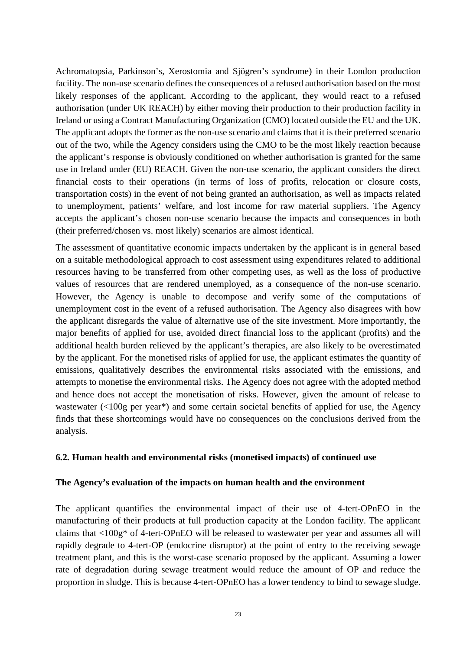Achromatopsia, Parkinson's, Xerostomia and Sjögren's syndrome) in their London production facility. The non-use scenario defines the consequences of a refused authorisation based on the most likely responses of the applicant. According to the applicant, they would react to a refused authorisation (under UK REACH) by either moving their production to their production facility in Ireland or using a Contract Manufacturing Organization (CMO) located outside the EU and the UK. The applicant adopts the former as the non-use scenario and claims that it is their preferred scenario out of the two, while the Agency considers using the CMO to be the most likely reaction because the applicant's response is obviously conditioned on whether authorisation is granted for the same use in Ireland under (EU) REACH. Given the non-use scenario, the applicant considers the direct financial costs to their operations (in terms of loss of profits, relocation or closure costs, transportation costs) in the event of not being granted an authorisation, as well as impacts related to unemployment, patients' welfare, and lost income for raw material suppliers. The Agency accepts the applicant's chosen non-use scenario because the impacts and consequences in both (their preferred/chosen vs. most likely) scenarios are almost identical.

The assessment of quantitative economic impacts undertaken by the applicant is in general based on a suitable methodological approach to cost assessment using expenditures related to additional resources having to be transferred from other competing uses, as well as the loss of productive values of resources that are rendered unemployed, as a consequence of the non-use scenario. However, the Agency is unable to decompose and verify some of the computations of unemployment cost in the event of a refused authorisation. The Agency also disagrees with how the applicant disregards the value of alternative use of the site investment. More importantly, the major benefits of applied for use, avoided direct financial loss to the applicant (profits) and the additional health burden relieved by the applicant's therapies, are also likely to be overestimated by the applicant. For the monetised risks of applied for use, the applicant estimates the quantity of emissions, qualitatively describes the environmental risks associated with the emissions, and attempts to monetise the environmental risks. The Agency does not agree with the adopted method and hence does not accept the monetisation of risks. However, given the amount of release to wastewater (<100g per year\*) and some certain societal benefits of applied for use, the Agency finds that these shortcomings would have no consequences on the conclusions derived from the analysis.

#### **6.2. Human health and environmental risks (monetised impacts) of continued use**

#### **The Agency's evaluation of the impacts on human health and the environment**

The applicant quantifies the environmental impact of their use of 4-tert-OPnEO in the manufacturing of their products at full production capacity at the London facility. The applicant claims that <100g\* of 4-tert-OPnEO will be released to wastewater per year and assumes all will rapidly degrade to 4-tert-OP (endocrine disruptor) at the point of entry to the receiving sewage treatment plant, and this is the worst-case scenario proposed by the applicant. Assuming a lower rate of degradation during sewage treatment would reduce the amount of OP and reduce the proportion in sludge. This is because 4-tert-OPnEO has a lower tendency to bind to sewage sludge.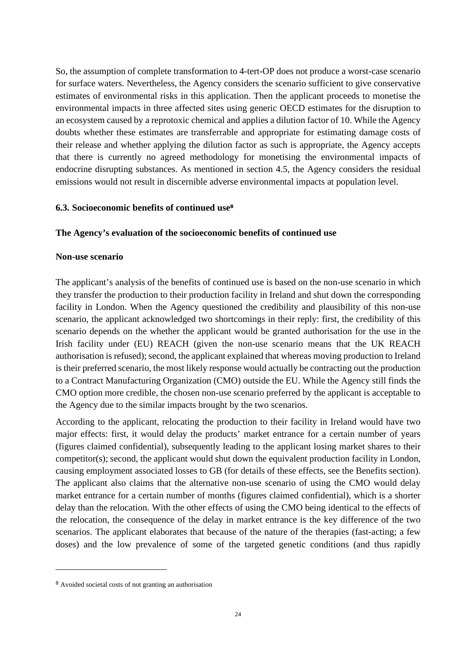So, the assumption of complete transformation to 4-tert-OP does not produce a worst-case scenario for surface waters. Nevertheless, the Agency considers the scenario sufficient to give conservative estimates of environmental risks in this application. Then the applicant proceeds to monetise the environmental impacts in three affected sites using generic OECD estimates for the disruption to an ecosystem caused by a reprotoxic chemical and applies a dilution factor of 10. While the Agency doubts whether these estimates are transferrable and appropriate for estimating damage costs of their release and whether applying the dilution factor as such is appropriate, the Agency accepts that there is currently no agreed methodology for monetising the environmental impacts of endocrine disrupting substances. As mentioned in section 4.5, the Agency considers the residual emissions would not result in discernible adverse environmental impacts at population level.

#### **6.3. Socioeconomic benefits of continued use<sup>8</sup>**

#### **The Agency's evaluation of the socioeconomic benefits of continued use**

#### **Non-use scenario**

The applicant's analysis of the benefits of continued use is based on the non-use scenario in which they transfer the production to their production facility in Ireland and shut down the corresponding facility in London. When the Agency questioned the credibility and plausibility of this non-use scenario, the applicant acknowledged two shortcomings in their reply: first, the credibility of this scenario depends on the whether the applicant would be granted authorisation for the use in the Irish facility under (EU) REACH (given the non-use scenario means that the UK REACH authorisation is refused); second, the applicant explained that whereas moving production to Ireland is their preferred scenario, the most likely response would actually be contracting out the production to a Contract Manufacturing Organization (CMO) outside the EU. While the Agency still finds the CMO option more credible, the chosen non-use scenario preferred by the applicant is acceptable to the Agency due to the similar impacts brought by the two scenarios.

According to the applicant, relocating the production to their facility in Ireland would have two major effects: first, it would delay the products' market entrance for a certain number of years (figures claimed confidential), subsequently leading to the applicant losing market shares to their competitor(s); second, the applicant would shut down the equivalent production facility in London, causing employment associated losses to GB (for details of these effects, see the Benefits section). The applicant also claims that the alternative non-use scenario of using the CMO would delay market entrance for a certain number of months (figures claimed confidential), which is a shorter delay than the relocation. With the other effects of using the CMO being identical to the effects of the relocation, the consequence of the delay in market entrance is the key difference of the two scenarios. The applicant elaborates that because of the nature of the therapies (fast-acting; a few doses) and the low prevalence of some of the targeted genetic conditions (and thus rapidly

<sup>8</sup> Avoided societal costs of not granting an authorisation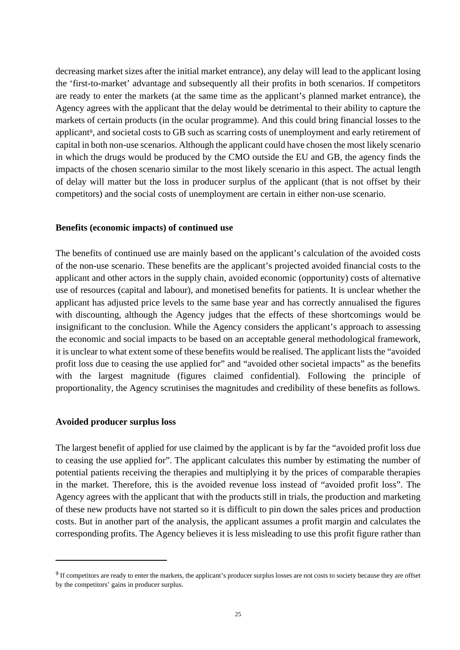decreasing market sizes after the initial market entrance), any delay will lead to the applicant losing the 'first-to-market' advantage and subsequently all their profits in both scenarios. If competitors are ready to enter the markets (at the same time as the applicant's planned market entrance), the Agency agrees with the applicant that the delay would be detrimental to their ability to capture the markets of certain products (in the ocular programme). And this could bring financial losses to the applicant<sup>9</sup>, and societal costs to GB such as scarring costs of unemployment and early retirement of capital in both non-use scenarios. Although the applicant could have chosen the most likely scenario in which the drugs would be produced by the CMO outside the EU and GB, the agency finds the impacts of the chosen scenario similar to the most likely scenario in this aspect. The actual length of delay will matter but the loss in producer surplus of the applicant (that is not offset by their competitors) and the social costs of unemployment are certain in either non-use scenario.

#### **Benefits (economic impacts) of continued use**

The benefits of continued use are mainly based on the applicant's calculation of the avoided costs of the non-use scenario. These benefits are the applicant's projected avoided financial costs to the applicant and other actors in the supply chain, avoided economic (opportunity) costs of alternative use of resources (capital and labour), and monetised benefits for patients. It is unclear whether the applicant has adjusted price levels to the same base year and has correctly annualised the figures with discounting, although the Agency judges that the effects of these shortcomings would be insignificant to the conclusion. While the Agency considers the applicant's approach to assessing the economic and social impacts to be based on an acceptable general methodological framework, it is unclear to what extent some of these benefits would be realised. The applicant lists the "avoided profit loss due to ceasing the use applied for" and "avoided other societal impacts" as the benefits with the largest magnitude (figures claimed confidential). Following the principle of proportionality, the Agency scrutinises the magnitudes and credibility of these benefits as follows.

#### **Avoided producer surplus loss**

The largest benefit of applied for use claimed by the applicant is by far the "avoided profit loss due to ceasing the use applied for". The applicant calculates this number by estimating the number of potential patients receiving the therapies and multiplying it by the prices of comparable therapies in the market. Therefore, this is the avoided revenue loss instead of "avoided profit loss". The Agency agrees with the applicant that with the products still in trials, the production and marketing of these new products have not started so it is difficult to pin down the sales prices and production costs. But in another part of the analysis, the applicant assumes a profit margin and calculates the corresponding profits. The Agency believes it is less misleading to use this profit figure rather than

<sup>&</sup>lt;sup>9</sup> If competitors are ready to enter the markets, the applicant's producer surplus losses are not costs to society because they are offset by the competitors' gains in producer surplus.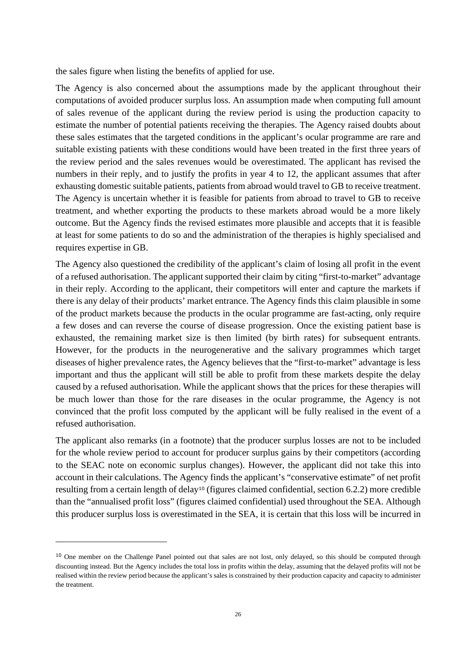the sales figure when listing the benefits of applied for use.

The Agency is also concerned about the assumptions made by the applicant throughout their computations of avoided producer surplus loss. An assumption made when computing full amount of sales revenue of the applicant during the review period is using the production capacity to estimate the number of potential patients receiving the therapies. The Agency raised doubts about these sales estimates that the targeted conditions in the applicant's ocular programme are rare and suitable existing patients with these conditions would have been treated in the first three years of the review period and the sales revenues would be overestimated. The applicant has revised the numbers in their reply, and to justify the profits in year 4 to 12, the applicant assumes that after exhausting domestic suitable patients, patients from abroad would travel to GB to receive treatment. The Agency is uncertain whether it is feasible for patients from abroad to travel to GB to receive treatment, and whether exporting the products to these markets abroad would be a more likely outcome. But the Agency finds the revised estimates more plausible and accepts that it is feasible at least for some patients to do so and the administration of the therapies is highly specialised and requires expertise in GB.

The Agency also questioned the credibility of the applicant's claim of losing all profit in the event of a refused authorisation. The applicant supported their claim by citing "first-to-market" advantage in their reply. According to the applicant, their competitors will enter and capture the markets if there is any delay of their products' market entrance. The Agency finds this claim plausible in some of the product markets because the products in the ocular programme are fast-acting, only require a few doses and can reverse the course of disease progression. Once the existing patient base is exhausted, the remaining market size is then limited (by birth rates) for subsequent entrants. However, for the products in the neurogenerative and the salivary programmes which target diseases of higher prevalence rates, the Agency believes that the "first-to-market" advantage is less important and thus the applicant will still be able to profit from these markets despite the delay caused by a refused authorisation. While the applicant shows that the prices for these therapies will be much lower than those for the rare diseases in the ocular programme, the Agency is not convinced that the profit loss computed by the applicant will be fully realised in the event of a refused authorisation.

The applicant also remarks (in a footnote) that the producer surplus losses are not to be included for the whole review period to account for producer surplus gains by their competitors (according to the SEAC note on economic surplus changes). However, the applicant did not take this into account in their calculations. The Agency finds the applicant's "conservative estimate" of net profit resulting from a certain length of delay<sup>10</sup> (figures claimed confidential, section 6.2.2) more credible than the "annualised profit loss" (figures claimed confidential) used throughout the SEA. Although this producer surplus loss is overestimated in the SEA, it is certain that this loss will be incurred in

<sup>&</sup>lt;sup>10</sup> One member on the Challenge Panel pointed out that sales are not lost, only delayed, so this should be computed through discounting instead. But the Agency includes the total loss in profits within the delay, assuming that the delayed profits will not be realised within the review period because the applicant's sales is constrained by their production capacity and capacity to administer the treatment.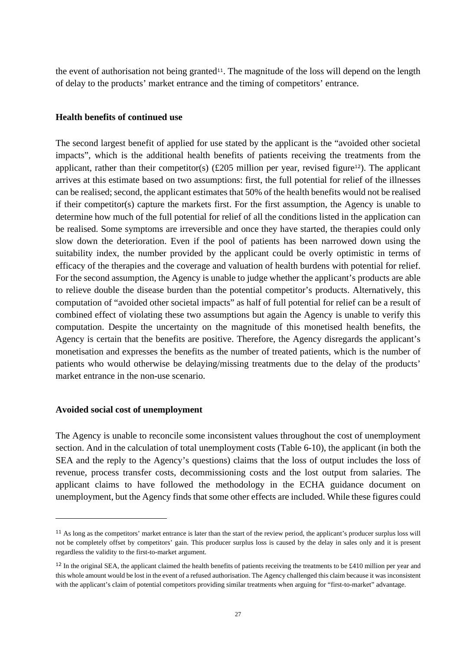the event of authorisation not being granted<sup>11</sup>. The magnitude of the loss will depend on the length of delay to the products' market entrance and the timing of competitors' entrance.

#### **Health benefits of continued use**

The second largest benefit of applied for use stated by the applicant is the "avoided other societal impacts", which is the additional health benefits of patients receiving the treatments from the applicant, rather than their competitor(s)  $(\text{\pounds}205 \text{ million per year}, \text{revised figure}^{12})$ . The applicant arrives at this estimate based on two assumptions: first, the full potential for relief of the illnesses can be realised; second, the applicant estimates that 50% of the health benefits would not be realised if their competitor(s) capture the markets first. For the first assumption, the Agency is unable to determine how much of the full potential for relief of all the conditions listed in the application can be realised. Some symptoms are irreversible and once they have started, the therapies could only slow down the deterioration. Even if the pool of patients has been narrowed down using the suitability index, the number provided by the applicant could be overly optimistic in terms of efficacy of the therapies and the coverage and valuation of health burdens with potential for relief. For the second assumption, the Agency is unable to judge whether the applicant's products are able to relieve double the disease burden than the potential competitor's products. Alternatively, this computation of "avoided other societal impacts" as half of full potential for relief can be a result of combined effect of violating these two assumptions but again the Agency is unable to verify this computation. Despite the uncertainty on the magnitude of this monetised health benefits, the Agency is certain that the benefits are positive. Therefore, the Agency disregards the applicant's monetisation and expresses the benefits as the number of treated patients, which is the number of patients who would otherwise be delaying/missing treatments due to the delay of the products' market entrance in the non-use scenario.

#### **Avoided social cost of unemployment**

The Agency is unable to reconcile some inconsistent values throughout the cost of unemployment section. And in the calculation of total unemployment costs (Table 6-10), the applicant (in both the SEA and the reply to the Agency's questions) claims that the loss of output includes the loss of revenue, process transfer costs, decommissioning costs and the lost output from salaries. The applicant claims to have followed the methodology in the ECHA guidance document on unemployment, but the Agency finds that some other effects are included. While these figures could

<sup>&</sup>lt;sup>11</sup> As long as the competitors' market entrance is later than the start of the review period, the applicant's producer surplus loss will not be completely offset by competitors' gain. This producer surplus loss is caused by the delay in sales only and it is present regardless the validity to the first-to-market argument.

<sup>&</sup>lt;sup>12</sup> In the original SEA, the applicant claimed the health benefits of patients receiving the treatments to be £410 million per year and this whole amount would be lost in the event of a refused authorisation. The Agency challenged this claim because it was inconsistent with the applicant's claim of potential competitors providing similar treatments when arguing for "first-to-market" advantage.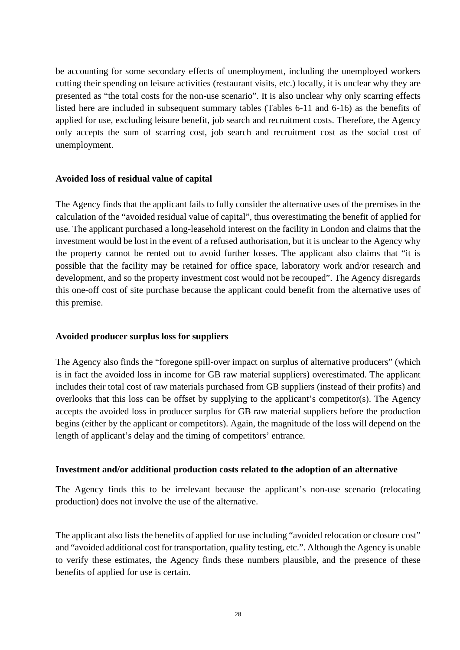be accounting for some secondary effects of unemployment, including the unemployed workers cutting their spending on leisure activities (restaurant visits, etc.) locally, it is unclear why they are presented as "the total costs for the non-use scenario". It is also unclear why only scarring effects listed here are included in subsequent summary tables (Tables 6-11 and 6-16) as the benefits of applied for use, excluding leisure benefit, job search and recruitment costs. Therefore, the Agency only accepts the sum of scarring cost, job search and recruitment cost as the social cost of unemployment.

#### **Avoided loss of residual value of capital**

The Agency finds that the applicant fails to fully consider the alternative uses of the premises in the calculation of the "avoided residual value of capital", thus overestimating the benefit of applied for use. The applicant purchased a long-leasehold interest on the facility in London and claims that the investment would be lost in the event of a refused authorisation, but it is unclear to the Agency why the property cannot be rented out to avoid further losses. The applicant also claims that "it is possible that the facility may be retained for office space, laboratory work and/or research and development, and so the property investment cost would not be recouped". The Agency disregards this one-off cost of site purchase because the applicant could benefit from the alternative uses of this premise.

#### **Avoided producer surplus loss for suppliers**

The Agency also finds the "foregone spill-over impact on surplus of alternative producers" (which is in fact the avoided loss in income for GB raw material suppliers) overestimated. The applicant includes their total cost of raw materials purchased from GB suppliers (instead of their profits) and overlooks that this loss can be offset by supplying to the applicant's competitor(s). The Agency accepts the avoided loss in producer surplus for GB raw material suppliers before the production begins (either by the applicant or competitors). Again, the magnitude of the loss will depend on the length of applicant's delay and the timing of competitors' entrance.

#### **Investment and/or additional production costs related to the adoption of an alternative**

The Agency finds this to be irrelevant because the applicant's non-use scenario (relocating production) does not involve the use of the alternative.

The applicant also lists the benefits of applied for use including "avoided relocation or closure cost" and "avoided additional cost for transportation, quality testing, etc.". Although the Agency is unable to verify these estimates, the Agency finds these numbers plausible, and the presence of these benefits of applied for use is certain.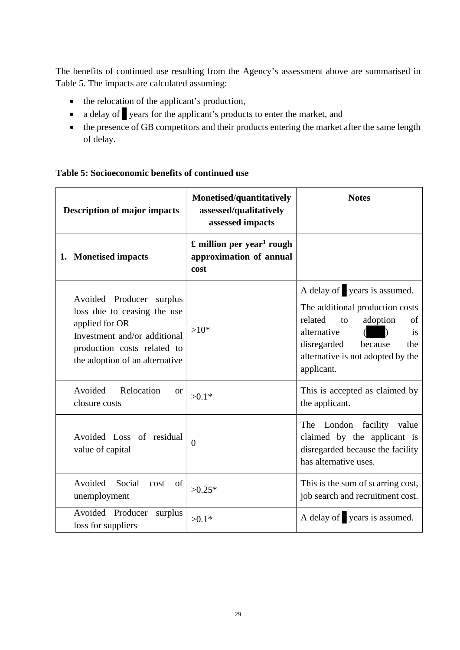The benefits of continued use resulting from the Agency's assessment above are summarised in Table 5. The impacts are calculated assuming:

- the relocation of the applicant's production,
- a delay of years for the applicant's products to enter the market, and
- the presence of GB competitors and their products entering the market after the same length of delay.

| Table 5: Socioeconomic benefits of continued use |  |  |
|--------------------------------------------------|--|--|
|                                                  |  |  |

| <b>Description of major impacts</b>                                                                                                                                        | Monetised/quantitatively<br>assessed/qualitatively<br>assessed impacts                    | <b>Notes</b>                                                                                                                                                                                                |
|----------------------------------------------------------------------------------------------------------------------------------------------------------------------------|-------------------------------------------------------------------------------------------|-------------------------------------------------------------------------------------------------------------------------------------------------------------------------------------------------------------|
| 1. Monetised impacts                                                                                                                                                       | $\mathbf{\pounds}$ million per year <sup>1</sup> rough<br>approximation of annual<br>cost |                                                                                                                                                                                                             |
| Avoided Producer surplus<br>loss due to ceasing the use<br>applied for OR<br>Investment and/or additional<br>production costs related to<br>the adoption of an alternative | $>10*$                                                                                    | A delay of years is assumed.<br>The additional production costs<br>related<br>to<br>adoption<br>of<br>alternative<br>is<br>disregarded<br>because<br>the<br>alternative is not adopted by the<br>applicant. |
| Relocation<br>Avoided<br><b>or</b><br>closure costs                                                                                                                        | $>0.1*$                                                                                   | This is accepted as claimed by<br>the applicant.                                                                                                                                                            |
| Avoided Loss of residual<br>value of capital                                                                                                                               | $\overline{0}$                                                                            | London facility value<br>The<br>claimed by the applicant is<br>disregarded because the facility<br>has alternative uses.                                                                                    |
| Social<br>Avoided<br>of<br>cost<br>unemployment                                                                                                                            | $>0.25*$                                                                                  | This is the sum of scarring cost,<br>job search and recruitment cost.                                                                                                                                       |
| Avoided Producer<br>surplus<br>loss for suppliers                                                                                                                          | $>0.1*$                                                                                   | A delay of years is assumed.                                                                                                                                                                                |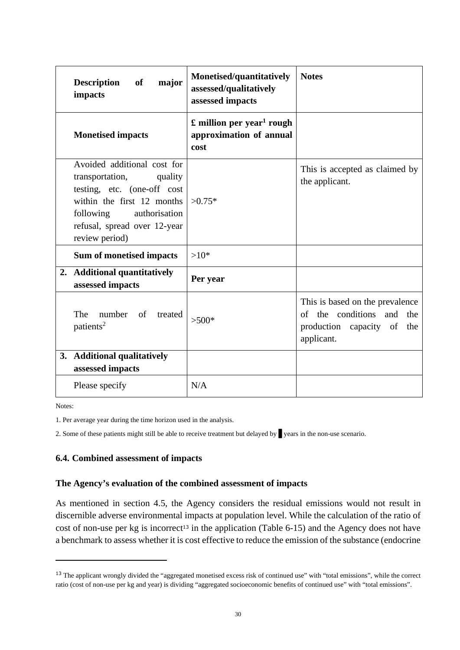| <b>Description</b><br>of<br>major<br>impacts                                                                                                                                                           | Monetised/quantitatively<br>assessed/qualitatively<br>assessed impacts                    | <b>Notes</b>                                                                                                   |
|--------------------------------------------------------------------------------------------------------------------------------------------------------------------------------------------------------|-------------------------------------------------------------------------------------------|----------------------------------------------------------------------------------------------------------------|
| <b>Monetised impacts</b>                                                                                                                                                                               | $\mathbf{\pounds}$ million per year <sup>1</sup> rough<br>approximation of annual<br>cost |                                                                                                                |
| Avoided additional cost for<br>transportation,<br>quality<br>testing, etc. (one-off cost<br>within the first 12 months<br>following<br>authorisation<br>refusal, spread over 12-year<br>review period) | $>0.75*$                                                                                  | This is accepted as claimed by<br>the applicant.                                                               |
| Sum of monetised impacts                                                                                                                                                                               | $>10*$                                                                                    |                                                                                                                |
| 2. Additional quantitatively<br>assessed impacts                                                                                                                                                       | Per year                                                                                  |                                                                                                                |
| The<br>number of<br>treated<br>patients <sup>2</sup>                                                                                                                                                   | $>500*$                                                                                   | This is based on the prevalence<br>of the conditions and<br>the<br>production capacity of<br>the<br>applicant. |
| 3. Additional qualitatively<br>assessed impacts                                                                                                                                                        |                                                                                           |                                                                                                                |
| Please specify                                                                                                                                                                                         | N/A                                                                                       |                                                                                                                |

Notes:

1. Per average year during the time horizon used in the analysis.

2. Some of these patients might still be able to receive treatment but delayed by years in the non-use scenario.

#### **6.4. Combined assessment of impacts**

#### **The Agency's evaluation of the combined assessment of impacts**

As mentioned in section 4.5, the Agency considers the residual emissions would not result in discernible adverse environmental impacts at population level. While the calculation of the ratio of cost of non-use per kg is incorrect<sup>13</sup> in the application (Table 6-15) and the Agency does not have a benchmark to assess whether it is cost effective to reduce the emission of the substance (endocrine

<sup>&</sup>lt;sup>13</sup> The applicant wrongly divided the "aggregated monetised excess risk of continued use" with "total emissions", while the correct ratio (cost of non-use per kg and year) is dividing "aggregated socioeconomic benefits of continued use" with "total emissions".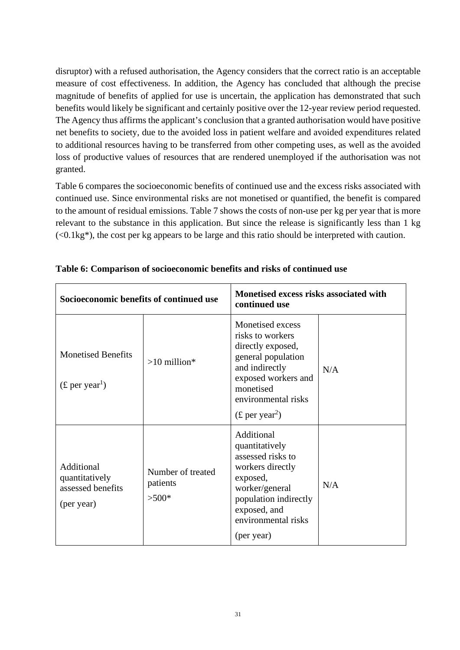disruptor) with a refused authorisation, the Agency considers that the correct ratio is an acceptable measure of cost effectiveness. In addition, the Agency has concluded that although the precise magnitude of benefits of applied for use is uncertain, the application has demonstrated that such benefits would likely be significant and certainly positive over the 12-year review period requested. The Agency thus affirms the applicant's conclusion that a granted authorisation would have positive net benefits to society, due to the avoided loss in patient welfare and avoided expenditures related to additional resources having to be transferred from other competing uses, as well as the avoided loss of productive values of resources that are rendered unemployed if the authorisation was not granted.

Table 6 compares the socioeconomic benefits of continued use and the excess risks associated with continued use. Since environmental risks are not monetised or quantified, the benefit is compared to the amount of residual emissions. Table 7 shows the costs of non-use per kg per year that is more relevant to the substance in this application. But since the release is significantly less than 1 kg  $\langle$  <0.1kg<sup>\*</sup>), the cost per kg appears to be large and this ratio should be interpreted with caution.

| Socioeconomic benefits of continued use                         |                                          | Monetised excess risks associated with<br>continued use                                                                                                                                       |     |
|-----------------------------------------------------------------|------------------------------------------|-----------------------------------------------------------------------------------------------------------------------------------------------------------------------------------------------|-----|
| <b>Monetised Benefits</b><br>$(\text{\pounds per year}^1)$      | $>10$ million*                           | Monetised excess<br>risks to workers<br>directly exposed,<br>general population<br>and indirectly<br>exposed workers and<br>monetised<br>environmental risks<br>$(\text{\pounds per year}^2)$ | N/A |
| Additional<br>quantitatively<br>assessed benefits<br>(per year) | Number of treated<br>patients<br>$>500*$ | Additional<br>quantitatively<br>assessed risks to<br>workers directly<br>exposed,<br>worker/general<br>population indirectly<br>exposed, and<br>environmental risks<br>(per year)             | N/A |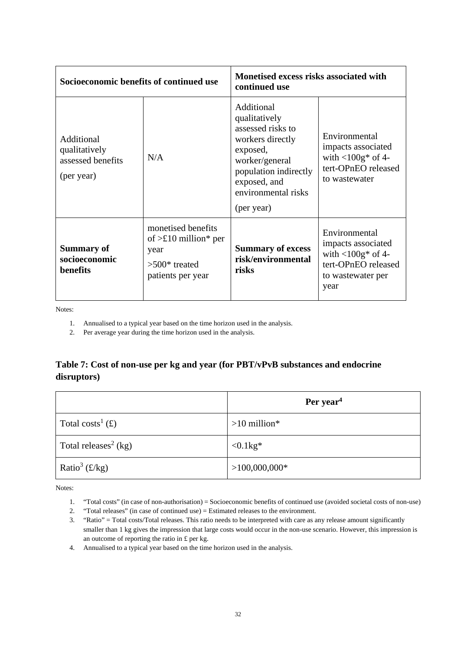| Socioeconomic benefits of continued use                        |                                                                                                     | Monetised excess risks associated with<br>continued use                                                                                                                          |                                                                                                                        |
|----------------------------------------------------------------|-----------------------------------------------------------------------------------------------------|----------------------------------------------------------------------------------------------------------------------------------------------------------------------------------|------------------------------------------------------------------------------------------------------------------------|
| Additional<br>qualitatively<br>assessed benefits<br>(per year) | N/A                                                                                                 | Additional<br>qualitatively<br>assessed risks to<br>workers directly<br>exposed,<br>worker/general<br>population indirectly<br>exposed, and<br>environmental risks<br>(per year) | Environmental<br>impacts associated<br>with $\langle 100g^*$ of 4-<br>tert-OPnEO released<br>to wastewater             |
| <b>Summary of</b><br>socioeconomic<br>benefits                 | monetised benefits<br>of $>\pounds 10$ million* per<br>year<br>$>500*$ treated<br>patients per year | <b>Summary of excess</b><br>risk/environmental<br>risks                                                                                                                          | Environmental<br>impacts associated<br>with $\langle 100g^*$ of 4-<br>tert-OPnEO released<br>to wastewater per<br>year |

Notes:

1. Annualised to a typical year based on the time horizon used in the analysis.

2. Per average year during the time horizon used in the analysis.

# **Table 7: Cost of non-use per kg and year (for PBT/vPvB substances and endocrine disruptors)**

|                                  | Per year <sup>4</sup>     |
|----------------------------------|---------------------------|
| Total costs <sup>1</sup> (£)     | $>10$ million*            |
| Total releases <sup>2</sup> (kg) | $\langle 0.1 \text{kg}^*$ |
| Ratio <sup>3</sup> (£/kg)        | $>100,000,000*$           |

Notes:

- 1. "Total costs" (in case of non-authorisation) = Socioeconomic benefits of continued use (avoided societal costs of non-use)
- 2. "Total releases" (in case of continued use) = Estimated releases to the environment.
- 3. "Ratio" = Total costs/Total releases. This ratio needs to be interpreted with care as any release amount significantly smaller than 1 kg gives the impression that large costs would occur in the non-use scenario. However, this impression is an outcome of reporting the ratio in £ per kg.
- 4. Annualised to a typical year based on the time horizon used in the analysis.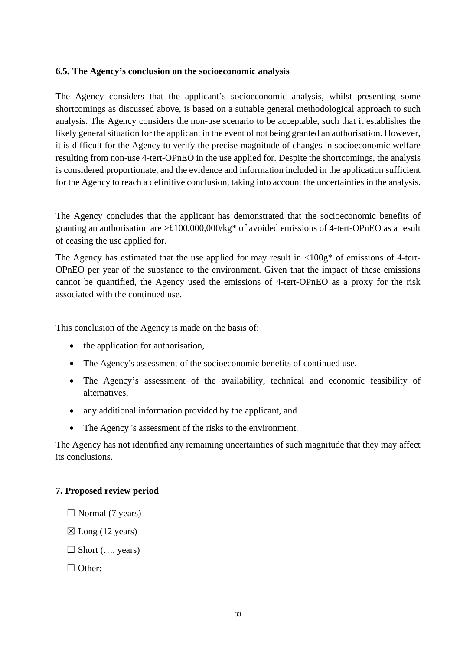#### **6.5. The Agency's conclusion on the socioeconomic analysis**

The Agency considers that the applicant's socioeconomic analysis, whilst presenting some shortcomings as discussed above, is based on a suitable general methodological approach to such analysis. The Agency considers the non-use scenario to be acceptable, such that it establishes the likely general situation for the applicant in the event of not being granted an authorisation. However, it is difficult for the Agency to verify the precise magnitude of changes in socioeconomic welfare resulting from non-use 4-tert-OPnEO in the use applied for. Despite the shortcomings, the analysis is considered proportionate, and the evidence and information included in the application sufficient for the Agency to reach a definitive conclusion, taking into account the uncertainties in the analysis.

The Agency concludes that the applicant has demonstrated that the socioeconomic benefits of granting an authorisation are >£100,000,000/kg\* of avoided emissions of 4-tert-OPnEO as a result of ceasing the use applied for.

The Agency has estimated that the use applied for may result in  $\langle 100g^*$  of emissions of 4-tert-OPnEO per year of the substance to the environment. Given that the impact of these emissions cannot be quantified, the Agency used the emissions of 4-tert-OPnEO as a proxy for the risk associated with the continued use.

This conclusion of the Agency is made on the basis of:

- the application for authorisation,
- The Agency's assessment of the socioeconomic benefits of continued use,
- The Agency's assessment of the availability, technical and economic feasibility of alternatives,
- any additional information provided by the applicant, and
- The Agency 's assessment of the risks to the environment.

The Agency has not identified any remaining uncertainties of such magnitude that they may affect its conclusions.

#### **7. Proposed review period**

- $\Box$  Normal (7 years)
- $\boxtimes$  Long (12 years)
- $\Box$  Short (..., years)
- □ Other: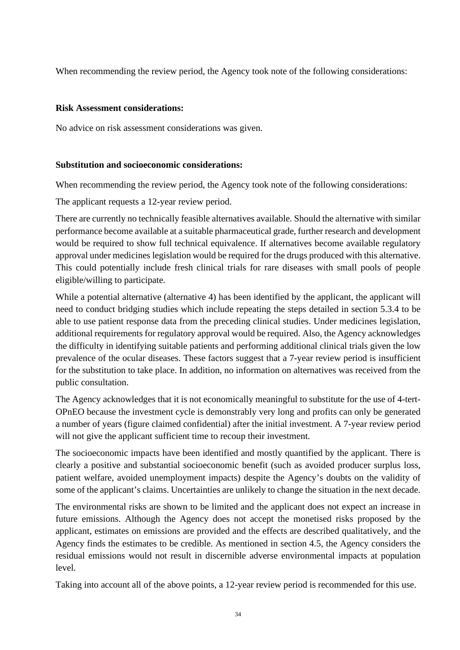When recommending the review period, the Agency took note of the following considerations:

## **Risk Assessment considerations:**

No advice on risk assessment considerations was given.

## **Substitution and socioeconomic considerations:**

When recommending the review period, the Agency took note of the following considerations:

The applicant requests a 12-year review period.

There are currently no technically feasible alternatives available. Should the alternative with similar performance become available at a suitable pharmaceutical grade, further research and development would be required to show full technical equivalence. If alternatives become available regulatory approval under medicines legislation would be required for the drugs produced with this alternative. This could potentially include fresh clinical trials for rare diseases with small pools of people eligible/willing to participate.

While a potential alternative (alternative 4) has been identified by the applicant, the applicant will need to conduct bridging studies which include repeating the steps detailed in section 5.3.4 to be able to use patient response data from the preceding clinical studies. Under medicines legislation, additional requirements for regulatory approval would be required. Also, the Agency acknowledges the difficulty in identifying suitable patients and performing additional clinical trials given the low prevalence of the ocular diseases. These factors suggest that a 7-year review period is insufficient for the substitution to take place. In addition, no information on alternatives was received from the public consultation.

The Agency acknowledges that it is not economically meaningful to substitute for the use of 4-tert-OPnEO because the investment cycle is demonstrably very long and profits can only be generated a number of years (figure claimed confidential) after the initial investment. A 7-year review period will not give the applicant sufficient time to recoup their investment.

The socioeconomic impacts have been identified and mostly quantified by the applicant. There is clearly a positive and substantial socioeconomic benefit (such as avoided producer surplus loss, patient welfare, avoided unemployment impacts) despite the Agency's doubts on the validity of some of the applicant's claims. Uncertainties are unlikely to change the situation in the next decade.

The environmental risks are shown to be limited and the applicant does not expect an increase in future emissions. Although the Agency does not accept the monetised risks proposed by the applicant, estimates on emissions are provided and the effects are described qualitatively, and the Agency finds the estimates to be credible. As mentioned in section 4.5, the Agency considers the residual emissions would not result in discernible adverse environmental impacts at population level.

Taking into account all of the above points, a 12-year review period is recommended for this use.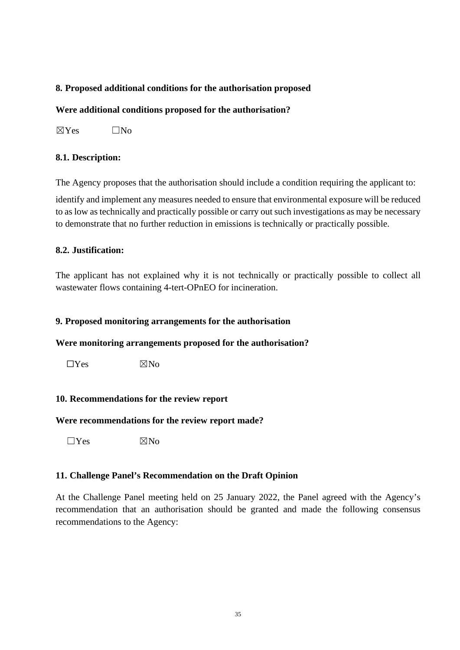# **8. Proposed additional conditions for the authorisation proposed**

#### **Were additional conditions proposed for the authorisation?**

 $\boxtimes$ Yes  $\Box$ No

#### **8.1. Description:**

The Agency proposes that the authorisation should include a condition requiring the applicant to:

identify and implement any measures needed to ensure that environmental exposure will be reduced to as low as technically and practically possible or carry out such investigations as may be necessary to demonstrate that no further reduction in emissions is technically or practically possible.

#### **8.2. Justification:**

The applicant has not explained why it is not technically or practically possible to collect all wastewater flows containing 4-tert-OPnEO for incineration.

#### **9. Proposed monitoring arrangements for the authorisation**

#### **Were monitoring arrangements proposed for the authorisation?**

 $\Box$ Yes  $\boxtimes$ No

#### **10. Recommendations for the review report**

#### **Were recommendations for the review report made?**

 $\nabla Y$ es  $\nabla N_0$ 

#### **11. Challenge Panel's Recommendation on the Draft Opinion**

At the Challenge Panel meeting held on 25 January 2022, the Panel agreed with the Agency's recommendation that an authorisation should be granted and made the following consensus recommendations to the Agency: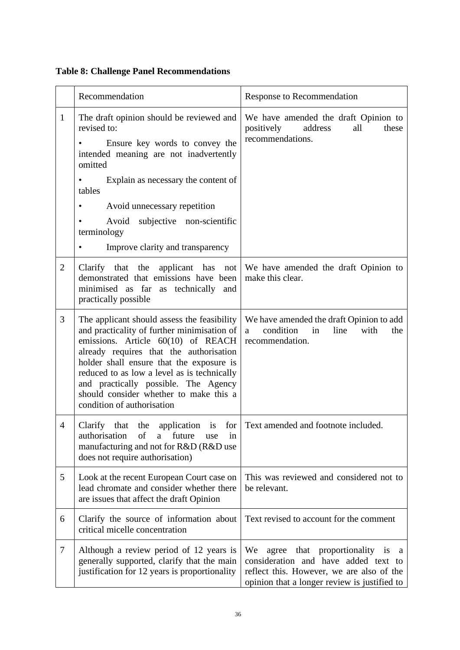|  |  | <b>Table 8: Challenge Panel Recommendations</b> |
|--|--|-------------------------------------------------|
|  |  |                                                 |

|                | Recommendation                                                                                                                                                                                                                                                                                                                                                                         | Response to Recommendation                                                                                                                                                    |
|----------------|----------------------------------------------------------------------------------------------------------------------------------------------------------------------------------------------------------------------------------------------------------------------------------------------------------------------------------------------------------------------------------------|-------------------------------------------------------------------------------------------------------------------------------------------------------------------------------|
| $\mathbf{1}$   | The draft opinion should be reviewed and<br>revised to:<br>Ensure key words to convey the<br>intended meaning are not inadvertently<br>omitted<br>Explain as necessary the content of<br>tables<br>Avoid unnecessary repetition<br>$\bullet$<br>subjective non-scientific<br>Avoid<br>terminology                                                                                      | We have amended the draft Opinion to<br>positively<br>address<br>all<br>these<br>recommendations.                                                                             |
|                | Improve clarity and transparency                                                                                                                                                                                                                                                                                                                                                       |                                                                                                                                                                               |
| $\overline{2}$ | Clarify that the applicant has<br>not<br>demonstrated that emissions have been<br>minimised as far as technically<br>and<br>practically possible                                                                                                                                                                                                                                       | We have amended the draft Opinion to<br>make this clear.                                                                                                                      |
| 3              | The applicant should assess the feasibility<br>and practicality of further minimisation of<br>emissions. Article 60(10) of REACH<br>already requires that the authorisation<br>holder shall ensure that the exposure is<br>reduced to as low a level as is technically<br>and practically possible. The Agency<br>should consider whether to make this a<br>condition of authorisation | We have amended the draft Opinion to add<br>condition<br>in<br>line<br>with<br>the<br>a<br>recommendation.                                                                    |
| $\overline{4}$ | Clarify<br>the<br>application<br>that<br>is<br>authorisation<br>of<br>future<br>a<br>use<br>in<br>manufacturing and not for R&D (R&D use<br>does not require authorisation)                                                                                                                                                                                                            | for Text amended and footnote included.                                                                                                                                       |
| 5              | Look at the recent European Court case on<br>lead chromate and consider whether there<br>are issues that affect the draft Opinion                                                                                                                                                                                                                                                      | This was reviewed and considered not to<br>be relevant.                                                                                                                       |
| 6              | Clarify the source of information about<br>critical micelle concentration                                                                                                                                                                                                                                                                                                              | Text revised to account for the comment                                                                                                                                       |
| 7              | Although a review period of 12 years is<br>generally supported, clarify that the main<br>justification for 12 years is proportionality                                                                                                                                                                                                                                                 | We<br>agree that proportionality is<br>a<br>consideration and have added text to<br>reflect this. However, we are also of the<br>opinion that a longer review is justified to |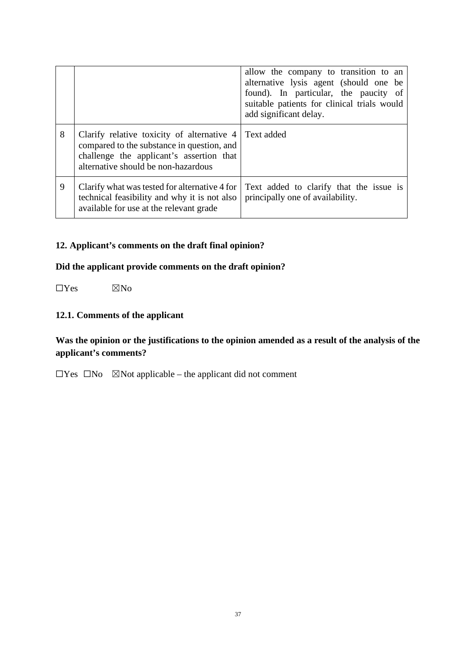|   |                                                                                                                                                                             | allow the company to transition to an<br>alternative lysis agent (should one be<br>found). In particular, the paucity of<br>suitable patients for clinical trials would<br>add significant delay. |
|---|-----------------------------------------------------------------------------------------------------------------------------------------------------------------------------|---------------------------------------------------------------------------------------------------------------------------------------------------------------------------------------------------|
| 8 | Clarify relative toxicity of alternative 4<br>compared to the substance in question, and<br>challenge the applicant's assertion that<br>alternative should be non-hazardous | Text added                                                                                                                                                                                        |
| 9 | Clarify what was tested for alternative 4 for<br>technical feasibility and why it is not also<br>available for use at the relevant grade                                    | Text added to clarify that the issue is<br>principally one of availability.                                                                                                                       |

# **12. Applicant's comments on the draft final opinion?**

# **Did the applicant provide comments on the draft opinion?**

 $\Box$ Yes  $\boxtimes$ No

# **12.1. Comments of the applicant**

# **Was the opinion or the justifications to the opinion amended as a result of the analysis of the applicant's comments?**

☐Yes ☐No ☒Not applicable – the applicant did not comment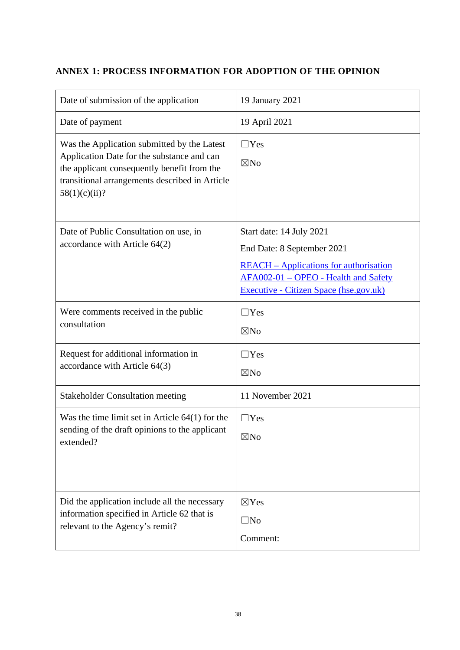# **ANNEX 1: PROCESS INFORMATION FOR ADOPTION OF THE OPINION**

| Date of submission of the application                                                                                                                                                                       | 19 January 2021                                                                                                                                                                           |
|-------------------------------------------------------------------------------------------------------------------------------------------------------------------------------------------------------------|-------------------------------------------------------------------------------------------------------------------------------------------------------------------------------------------|
| Date of payment                                                                                                                                                                                             | 19 April 2021                                                                                                                                                                             |
| Was the Application submitted by the Latest<br>Application Date for the substance and can<br>the applicant consequently benefit from the<br>transitional arrangements described in Article<br>58(1)(c)(ii)? | $\Box$ Yes<br>$\boxtimes$ No                                                                                                                                                              |
| Date of Public Consultation on use, in<br>accordance with Article 64(2)                                                                                                                                     | Start date: 14 July 2021<br>End Date: 8 September 2021<br><b>REACH</b> – Applications for authorisation<br>AFA002-01 - OPEO - Health and Safety<br>Executive - Citizen Space (hse.gov.uk) |
| Were comments received in the public<br>consultation                                                                                                                                                        | $\Box$ Yes<br>$\boxtimes$ No                                                                                                                                                              |
| Request for additional information in<br>accordance with Article 64(3)                                                                                                                                      | $\Box$ Yes<br>$\boxtimes$ No                                                                                                                                                              |
| <b>Stakeholder Consultation meeting</b>                                                                                                                                                                     | 11 November 2021                                                                                                                                                                          |
| Was the time limit set in Article $64(1)$ for the<br>sending of the draft opinions to the applicant<br>extended?                                                                                            | $\Box$ Yes<br>$\boxtimes$ No                                                                                                                                                              |
| Did the application include all the necessary<br>information specified in Article 62 that is<br>relevant to the Agency's remit?                                                                             | $\boxtimes$ Yes<br>$\square$ No<br>Comment:                                                                                                                                               |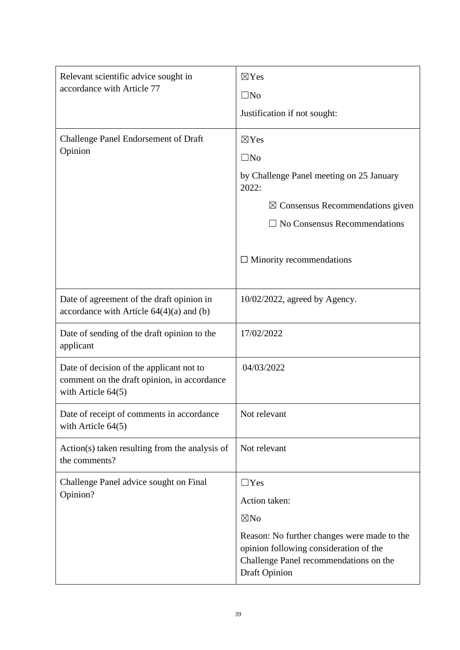| Relevant scientific advice sought in<br>accordance with Article 77                                              | $\boxtimes$ Yes<br>$\square$ No<br>Justification if not sought:                                                                                                                                          |
|-----------------------------------------------------------------------------------------------------------------|----------------------------------------------------------------------------------------------------------------------------------------------------------------------------------------------------------|
| <b>Challenge Panel Endorsement of Draft</b><br>Opinion                                                          | $\boxtimes$ Yes<br>$\square$ No<br>by Challenge Panel meeting on 25 January<br>2022:                                                                                                                     |
|                                                                                                                 | $\boxtimes$ Consensus Recommendations given<br>No Consensus Recommendations                                                                                                                              |
|                                                                                                                 | $\Box$ Minority recommendations                                                                                                                                                                          |
| Date of agreement of the draft opinion in<br>accordance with Article $64(4)(a)$ and (b)                         | $10/02/2022$ , agreed by Agency.                                                                                                                                                                         |
| Date of sending of the draft opinion to the<br>applicant                                                        | 17/02/2022                                                                                                                                                                                               |
| Date of decision of the applicant not to<br>comment on the draft opinion, in accordance<br>with Article $64(5)$ | 04/03/2022                                                                                                                                                                                               |
| Date of receipt of comments in accordance<br>with Article $64(5)$                                               | Not relevant                                                                                                                                                                                             |
| Action(s) taken resulting from the analysis of<br>the comments?                                                 | Not relevant                                                                                                                                                                                             |
| Challenge Panel advice sought on Final<br>Opinion?                                                              | $\Box$ Yes<br>Action taken:<br>$\boxtimes$ No<br>Reason: No further changes were made to the<br>opinion following consideration of the<br>Challenge Panel recommendations on the<br><b>Draft Opinion</b> |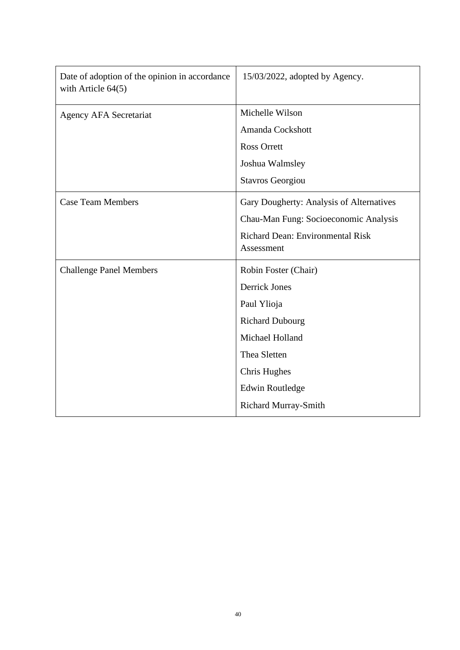| Date of adoption of the opinion in accordance<br>with Article $64(5)$ | 15/03/2022, adopted by Agency.           |
|-----------------------------------------------------------------------|------------------------------------------|
| Agency AFA Secretariat                                                | Michelle Wilson                          |
|                                                                       | Amanda Cockshott                         |
|                                                                       | <b>Ross Orrett</b>                       |
|                                                                       | Joshua Walmsley                          |
|                                                                       | <b>Stavros Georgiou</b>                  |
| <b>Case Team Members</b>                                              | Gary Dougherty: Analysis of Alternatives |
|                                                                       | Chau-Man Fung: Socioeconomic Analysis    |
|                                                                       | <b>Richard Dean: Environmental Risk</b>  |
|                                                                       | Assessment                               |
| <b>Challenge Panel Members</b>                                        | Robin Foster (Chair)                     |
|                                                                       | <b>Derrick Jones</b>                     |
|                                                                       | Paul Ylioja                              |
|                                                                       | <b>Richard Dubourg</b>                   |
|                                                                       | Michael Holland                          |
|                                                                       | Thea Sletten                             |
|                                                                       | Chris Hughes                             |
|                                                                       | <b>Edwin Routledge</b>                   |
|                                                                       | <b>Richard Murray-Smith</b>              |